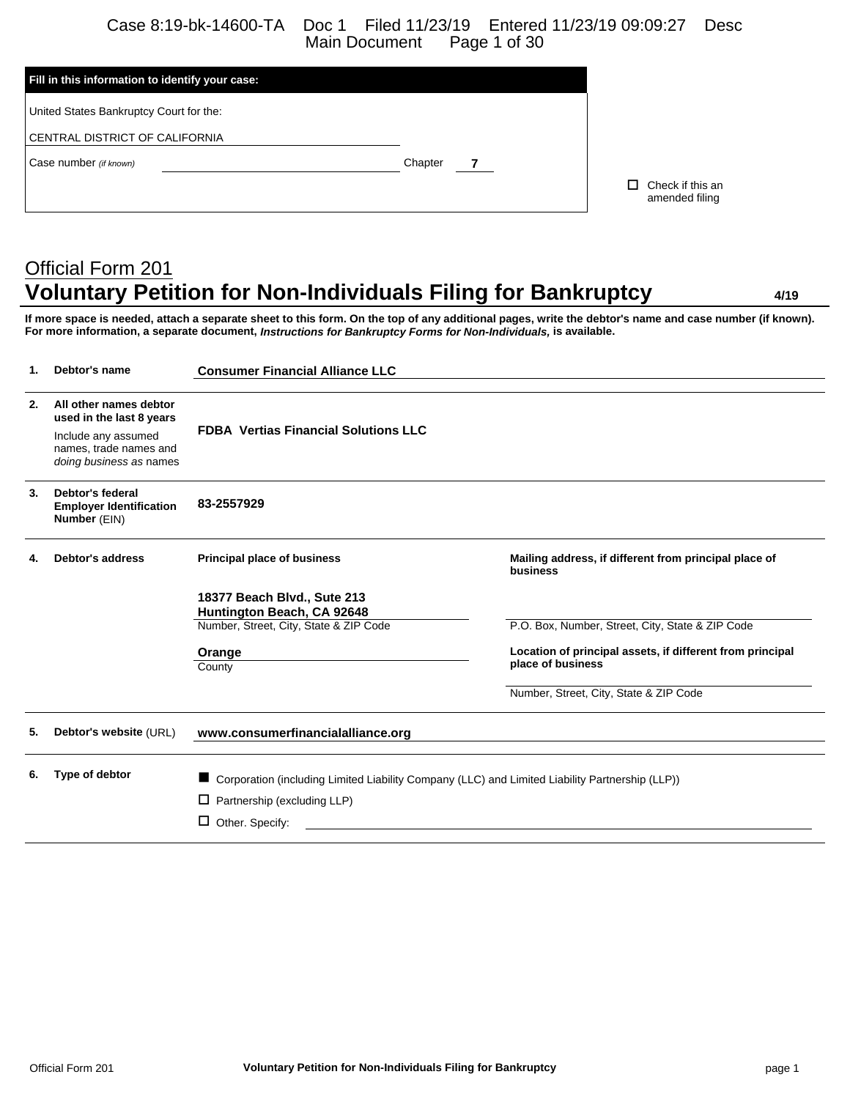Case 8:19-bk-14600-TA Doc 1 Filed 11/23/19 Entered 11/23/19 09:09:27 Desc Main Document

| Fill in this information to identify your case: |         |  |                                    |  |  |  |
|-------------------------------------------------|---------|--|------------------------------------|--|--|--|
| United States Bankruptcy Court for the:         |         |  |                                    |  |  |  |
| CENTRAL DISTRICT OF CALIFORNIA                  |         |  |                                    |  |  |  |
| Case number (if known)                          | Chapter |  |                                    |  |  |  |
|                                                 |         |  | Check if this an<br>amended filing |  |  |  |
|                                                 |         |  |                                    |  |  |  |

# Official Form 201 **Voluntary Petition for Non-Individuals Filing for Bankruptcy 4/19**

**If more space is needed, attach a separate sheet to this form. On the top of any additional pages, write the debtor's name and case number (if known). For more information, a separate document,** *Instructions for Bankruptcy Forms for Non-Individuals,* **is available.**

| 1. | Debtor's name                                                            | <b>Consumer Financial Alliance LLC</b>                                                          |                                                                   |  |  |
|----|--------------------------------------------------------------------------|-------------------------------------------------------------------------------------------------|-------------------------------------------------------------------|--|--|
| 2. | All other names debtor<br>used in the last 8 years                       |                                                                                                 |                                                                   |  |  |
|    | Include any assumed<br>names, trade names and<br>doing business as names | <b>FDBA Vertias Financial Solutions LLC</b>                                                     |                                                                   |  |  |
| 3. | Debtor's federal<br><b>Employer Identification</b><br>Number (EIN)       | 83-2557929                                                                                      |                                                                   |  |  |
| 4. | <b>Debtor's address</b>                                                  | <b>Principal place of business</b>                                                              | Mailing address, if different from principal place of<br>business |  |  |
|    |                                                                          | 18377 Beach Blvd., Sute 213<br>Huntington Beach, CA 92648                                       |                                                                   |  |  |
|    |                                                                          | Number, Street, City, State & ZIP Code                                                          | P.O. Box, Number, Street, City, State & ZIP Code                  |  |  |
|    |                                                                          | Orange                                                                                          | Location of principal assets, if different from principal         |  |  |
|    |                                                                          | County                                                                                          | place of business                                                 |  |  |
|    |                                                                          |                                                                                                 | Number, Street, City, State & ZIP Code                            |  |  |
| 5. | Debtor's website (URL)                                                   | www.consumerfinancialalliance.org                                                               |                                                                   |  |  |
| 6. | Type of debtor                                                           | Corporation (including Limited Liability Company (LLC) and Limited Liability Partnership (LLP)) |                                                                   |  |  |
|    |                                                                          | Partnership (excluding LLP)<br>□                                                                |                                                                   |  |  |
|    |                                                                          | $\Box$ Other. Specify:                                                                          |                                                                   |  |  |
|    |                                                                          |                                                                                                 |                                                                   |  |  |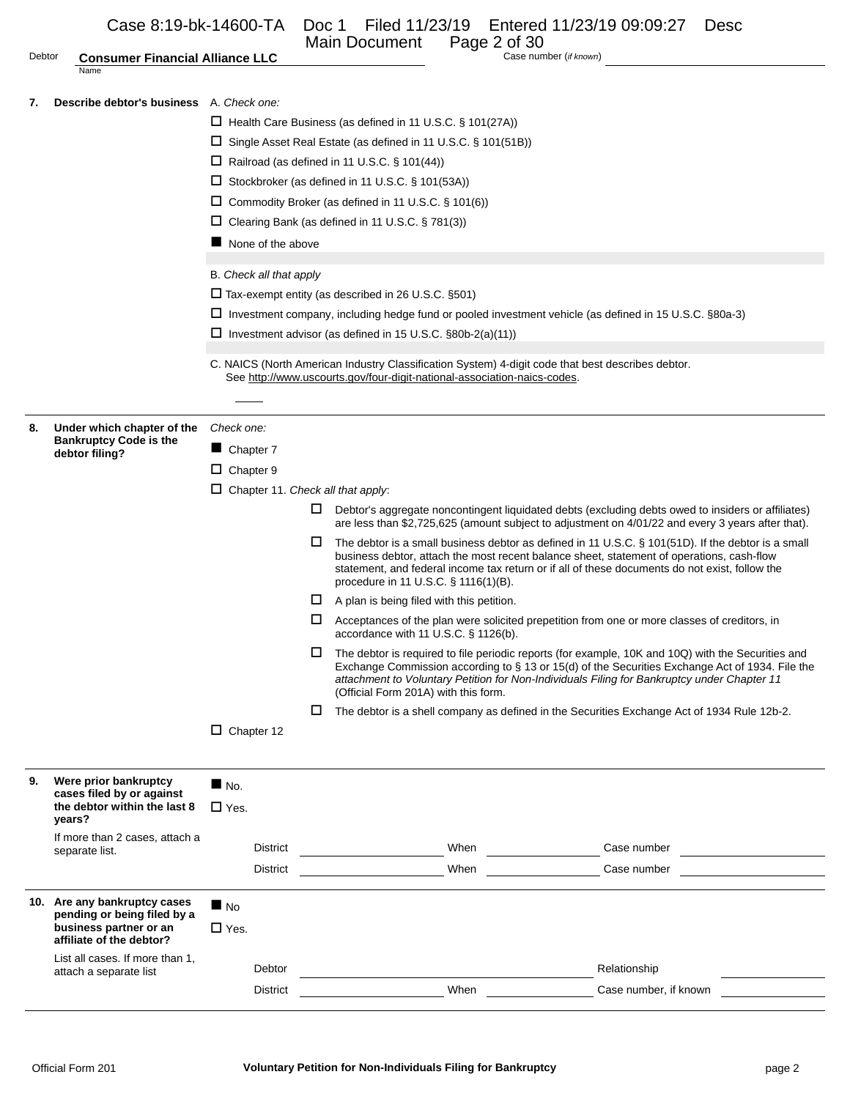| Debtor | Case 8:19-bk-14600-TA<br><b>Consumer Financial Alliance LLC</b>                                                                                                               |                                          |        | Doc 1 Filed 11/23/19 Entered 11/23/19 09:09:27<br>Main Document<br>Page 2 of 30 | <b>Desc</b><br>Case number (if known)                                                                                                                                                                 |  |
|--------|-------------------------------------------------------------------------------------------------------------------------------------------------------------------------------|------------------------------------------|--------|---------------------------------------------------------------------------------|-------------------------------------------------------------------------------------------------------------------------------------------------------------------------------------------------------|--|
|        | Name                                                                                                                                                                          |                                          |        |                                                                                 |                                                                                                                                                                                                       |  |
| 7.     | Describe debtor's business A. Check one:                                                                                                                                      |                                          |        |                                                                                 |                                                                                                                                                                                                       |  |
|        |                                                                                                                                                                               |                                          |        |                                                                                 |                                                                                                                                                                                                       |  |
|        |                                                                                                                                                                               |                                          |        | $\Box$ Health Care Business (as defined in 11 U.S.C. § 101(27A))                |                                                                                                                                                                                                       |  |
|        |                                                                                                                                                                               |                                          |        | $\Box$ Single Asset Real Estate (as defined in 11 U.S.C. § 101(51B))            |                                                                                                                                                                                                       |  |
|        |                                                                                                                                                                               |                                          |        | $\Box$ Railroad (as defined in 11 U.S.C. § 101(44))                             |                                                                                                                                                                                                       |  |
|        |                                                                                                                                                                               |                                          |        | $\Box$ Stockbroker (as defined in 11 U.S.C. § 101(53A))                         |                                                                                                                                                                                                       |  |
|        |                                                                                                                                                                               |                                          |        | $\Box$ Commodity Broker (as defined in 11 U.S.C. § 101(6))                      |                                                                                                                                                                                                       |  |
|        |                                                                                                                                                                               |                                          |        | $\Box$ Clearing Bank (as defined in 11 U.S.C. § 781(3))                         |                                                                                                                                                                                                       |  |
|        | $\blacksquare$ None of the above                                                                                                                                              |                                          |        |                                                                                 |                                                                                                                                                                                                       |  |
|        |                                                                                                                                                                               |                                          |        |                                                                                 |                                                                                                                                                                                                       |  |
|        |                                                                                                                                                                               | B. Check all that apply                  |        |                                                                                 |                                                                                                                                                                                                       |  |
|        |                                                                                                                                                                               |                                          |        | $\Box$ Tax-exempt entity (as described in 26 U.S.C. §501)                       |                                                                                                                                                                                                       |  |
|        | □ Investment company, including hedge fund or pooled investment vehicle (as defined in 15 U.S.C. §80a-3)                                                                      |                                          |        |                                                                                 |                                                                                                                                                                                                       |  |
|        |                                                                                                                                                                               |                                          |        | $\Box$ Investment advisor (as defined in 15 U.S.C. §80b-2(a)(11))               |                                                                                                                                                                                                       |  |
|        |                                                                                                                                                                               |                                          |        |                                                                                 |                                                                                                                                                                                                       |  |
|        | C. NAICS (North American Industry Classification System) 4-digit code that best describes debtor.<br>See http://www.uscourts.gov/four-digit-national-association-naics-codes. |                                          |        |                                                                                 |                                                                                                                                                                                                       |  |
|        |                                                                                                                                                                               |                                          |        |                                                                                 |                                                                                                                                                                                                       |  |
|        |                                                                                                                                                                               |                                          |        |                                                                                 |                                                                                                                                                                                                       |  |
| 8.     | Under which chapter of the<br><b>Bankruptcy Code is the</b>                                                                                                                   | Check one:                               |        |                                                                                 |                                                                                                                                                                                                       |  |
|        | debtor filing?                                                                                                                                                                | Chapter 7                                |        |                                                                                 |                                                                                                                                                                                                       |  |
|        |                                                                                                                                                                               | $\Box$ Chapter 9                         |        |                                                                                 |                                                                                                                                                                                                       |  |
|        |                                                                                                                                                                               | $\Box$ Chapter 11. Check all that apply: |        |                                                                                 |                                                                                                                                                                                                       |  |
|        |                                                                                                                                                                               |                                          | ⊔      |                                                                                 | Debtor's aggregate noncontingent liquidated debts (excluding debts owed to insiders or affiliates)                                                                                                    |  |
|        |                                                                                                                                                                               |                                          |        |                                                                                 | are less than \$2,725,625 (amount subject to adjustment on 4/01/22 and every 3 years after that).                                                                                                     |  |
|        |                                                                                                                                                                               |                                          | $\Box$ |                                                                                 | The debtor is a small business debtor as defined in 11 U.S.C. § 101(51D). If the debtor is a small                                                                                                    |  |
|        |                                                                                                                                                                               |                                          |        |                                                                                 | business debtor, attach the most recent balance sheet, statement of operations, cash-flow<br>statement, and federal income tax return or if all of these documents do not exist, follow the           |  |
|        |                                                                                                                                                                               |                                          |        | procedure in 11 U.S.C. § 1116(1)(B).                                            |                                                                                                                                                                                                       |  |
|        |                                                                                                                                                                               |                                          |        | $\Box$ A plan is being filed with this petition.                                |                                                                                                                                                                                                       |  |
|        |                                                                                                                                                                               |                                          | $\Box$ |                                                                                 | Acceptances of the plan were solicited prepetition from one or more classes of creditors, in                                                                                                          |  |
|        |                                                                                                                                                                               |                                          |        | accordance with 11 U.S.C. § 1126(b).                                            |                                                                                                                                                                                                       |  |
|        |                                                                                                                                                                               |                                          | ш      |                                                                                 | The debtor is required to file periodic reports (for example, 10K and 10Q) with the Securities and<br>Exchange Commission according to § 13 or 15(d) of the Securities Exchange Act of 1934. File the |  |
|        |                                                                                                                                                                               |                                          |        |                                                                                 | attachment to Voluntary Petition for Non-Individuals Filing for Bankruptcy under Chapter 11                                                                                                           |  |
|        |                                                                                                                                                                               |                                          |        | (Official Form 201A) with this form.                                            |                                                                                                                                                                                                       |  |
|        |                                                                                                                                                                               |                                          | □      |                                                                                 | The debtor is a shell company as defined in the Securities Exchange Act of 1934 Rule 12b-2.                                                                                                           |  |
|        |                                                                                                                                                                               | $\Box$ Chapter 12                        |        |                                                                                 |                                                                                                                                                                                                       |  |
|        |                                                                                                                                                                               |                                          |        |                                                                                 |                                                                                                                                                                                                       |  |
| 9.     | Were prior bankruptcy                                                                                                                                                         | $\blacksquare$ No.                       |        |                                                                                 |                                                                                                                                                                                                       |  |
|        | cases filed by or against                                                                                                                                                     |                                          |        |                                                                                 |                                                                                                                                                                                                       |  |
|        | the debtor within the last 8<br>years?                                                                                                                                        | $\square$ Yes.                           |        |                                                                                 |                                                                                                                                                                                                       |  |
|        | If more than 2 cases, attach a                                                                                                                                                |                                          |        |                                                                                 |                                                                                                                                                                                                       |  |
|        | separate list.                                                                                                                                                                | <b>District</b>                          |        | When                                                                            | Case number                                                                                                                                                                                           |  |
|        |                                                                                                                                                                               | <b>District</b>                          |        | When                                                                            | Case number                                                                                                                                                                                           |  |
|        |                                                                                                                                                                               |                                          |        |                                                                                 |                                                                                                                                                                                                       |  |
|        | 10. Are any bankruptcy cases<br>pending or being filed by a                                                                                                                   | $\blacksquare$ No                        |        |                                                                                 |                                                                                                                                                                                                       |  |
|        | business partner or an                                                                                                                                                        | $\Box$ Yes.                              |        |                                                                                 |                                                                                                                                                                                                       |  |
|        | affiliate of the debtor?                                                                                                                                                      |                                          |        |                                                                                 |                                                                                                                                                                                                       |  |
|        | List all cases. If more than 1,<br>attach a separate list                                                                                                                     | Debtor                                   |        |                                                                                 | Relationship                                                                                                                                                                                          |  |
|        |                                                                                                                                                                               | <b>District</b>                          |        | When                                                                            | Case number, if known                                                                                                                                                                                 |  |
|        |                                                                                                                                                                               |                                          |        |                                                                                 |                                                                                                                                                                                                       |  |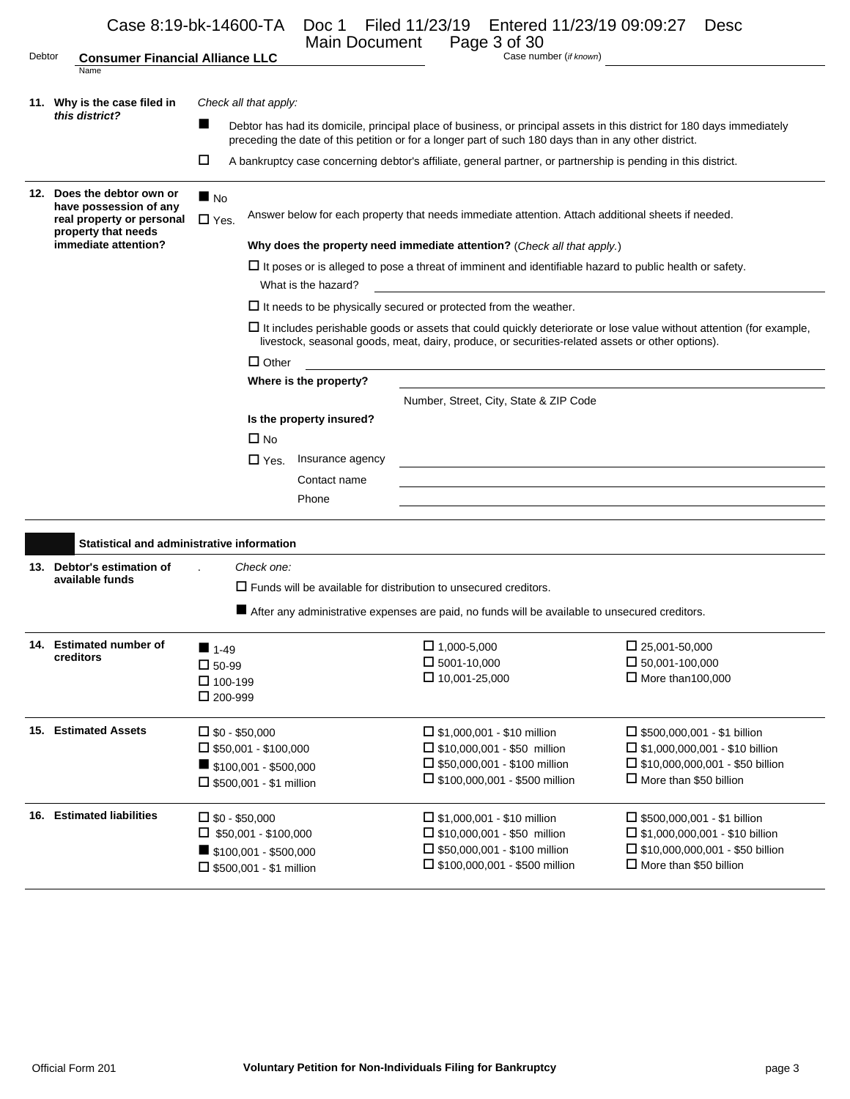|        | Case 8:19-bk-14600-TA                                                      |                                     | Doc 1<br>Main Document                                                                             | Filed 11/23/19 Entered 11/23/19 09:09:27<br>Page 3 of 30                                                                                                                                                                         | <b>Desc</b>                                                                                                                |  |  |
|--------|----------------------------------------------------------------------------|-------------------------------------|----------------------------------------------------------------------------------------------------|----------------------------------------------------------------------------------------------------------------------------------------------------------------------------------------------------------------------------------|----------------------------------------------------------------------------------------------------------------------------|--|--|
| Debtor | <b>Consumer Financial Alliance LLC</b><br>Name                             |                                     |                                                                                                    | Case number (if known)                                                                                                                                                                                                           |                                                                                                                            |  |  |
|        | 11. Why is the case filed in                                               |                                     | Check all that apply:                                                                              |                                                                                                                                                                                                                                  |                                                                                                                            |  |  |
|        | this district?                                                             |                                     |                                                                                                    | Debtor has had its domicile, principal place of business, or principal assets in this district for 180 days immediately<br>preceding the date of this petition or for a longer part of such 180 days than in any other district. |                                                                                                                            |  |  |
|        |                                                                            | □                                   |                                                                                                    | A bankruptcy case concerning debtor's affiliate, general partner, or partnership is pending in this district.                                                                                                                    |                                                                                                                            |  |  |
|        | 12. Does the debtor own or                                                 | $\blacksquare$ No                   |                                                                                                    |                                                                                                                                                                                                                                  |                                                                                                                            |  |  |
|        | have possession of any<br>real property or personal<br>property that needs | $\Box$ Yes.                         | Answer below for each property that needs immediate attention. Attach additional sheets if needed. |                                                                                                                                                                                                                                  |                                                                                                                            |  |  |
|        | immediate attention?                                                       |                                     |                                                                                                    | Why does the property need immediate attention? (Check all that apply.)                                                                                                                                                          |                                                                                                                            |  |  |
|        |                                                                            |                                     | What is the hazard?                                                                                | $\Box$ It poses or is alleged to pose a threat of imminent and identifiable hazard to public health or safety.                                                                                                                   |                                                                                                                            |  |  |
|        |                                                                            |                                     |                                                                                                    | $\Box$ It needs to be physically secured or protected from the weather.                                                                                                                                                          |                                                                                                                            |  |  |
|        |                                                                            |                                     |                                                                                                    | livestock, seasonal goods, meat, dairy, produce, or securities-related assets or other options).                                                                                                                                 | $\Box$ It includes perishable goods or assets that could quickly deteriorate or lose value without attention (for example, |  |  |
|        |                                                                            |                                     | $\Box$ Other                                                                                       |                                                                                                                                                                                                                                  |                                                                                                                            |  |  |
|        |                                                                            |                                     | Where is the property?                                                                             |                                                                                                                                                                                                                                  |                                                                                                                            |  |  |
|        |                                                                            |                                     |                                                                                                    | Number, Street, City, State & ZIP Code                                                                                                                                                                                           |                                                                                                                            |  |  |
|        |                                                                            |                                     | Is the property insured?                                                                           |                                                                                                                                                                                                                                  |                                                                                                                            |  |  |
|        |                                                                            |                                     | $\Box$ No                                                                                          |                                                                                                                                                                                                                                  |                                                                                                                            |  |  |
|        |                                                                            |                                     | $\Box$ Yes.<br>Insurance agency                                                                    | and the control of the control of the control of the control of the control of the control of the control of the                                                                                                                 |                                                                                                                            |  |  |
|        |                                                                            |                                     | Contact name                                                                                       |                                                                                                                                                                                                                                  |                                                                                                                            |  |  |
|        |                                                                            |                                     | Phone                                                                                              |                                                                                                                                                                                                                                  |                                                                                                                            |  |  |
|        | <b>Statistical and administrative information</b>                          |                                     |                                                                                                    |                                                                                                                                                                                                                                  |                                                                                                                            |  |  |
|        | 13. Debtor's estimation of                                                 |                                     | Check one:                                                                                         |                                                                                                                                                                                                                                  |                                                                                                                            |  |  |
|        | available funds                                                            |                                     |                                                                                                    | $\Box$ Funds will be available for distribution to unsecured creditors.                                                                                                                                                          |                                                                                                                            |  |  |
|        |                                                                            |                                     |                                                                                                    | After any administrative expenses are paid, no funds will be available to unsecured creditors.                                                                                                                                   |                                                                                                                            |  |  |
|        | 14. Estimated number of                                                    | $1-49$                              |                                                                                                    | $\Box$ 1,000-5,000                                                                                                                                                                                                               | $\Box$ 25,001-50,000                                                                                                       |  |  |
|        | creditors                                                                  | $\square$ 50-99                     |                                                                                                    | $\square$ 5001-10,000                                                                                                                                                                                                            | $\Box$ 50,001-100,000                                                                                                      |  |  |
|        |                                                                            | $\Box$ 100-199<br>$\square$ 200-999 |                                                                                                    | $\Box$ 10,001-25,000                                                                                                                                                                                                             | $\Box$ More than 100,000                                                                                                   |  |  |
|        | 15. Estimated Assets                                                       | $\square$ \$0 - \$50,000            |                                                                                                    | $\Box$ \$1,000,001 - \$10 million                                                                                                                                                                                                | $\Box$ \$500,000,001 - \$1 billion                                                                                         |  |  |
|        |                                                                            |                                     | $\Box$ \$50,001 - \$100,000                                                                        | $\Box$ \$10,000,001 - \$50 million                                                                                                                                                                                               | $\Box$ \$1,000,000,001 - \$10 billion                                                                                      |  |  |
|        |                                                                            |                                     | $\blacksquare$ \$100,001 - \$500,000                                                               | $\Box$ \$50,000,001 - \$100 million                                                                                                                                                                                              | □ \$10,000,000,001 - \$50 billion                                                                                          |  |  |
|        |                                                                            |                                     | $\Box$ \$500,001 - \$1 million                                                                     | $\Box$ \$100,000,001 - \$500 million                                                                                                                                                                                             | $\Box$ More than \$50 billion                                                                                              |  |  |
|        | 16. Estimated liabilities                                                  | $\square$ \$0 - \$50,000            |                                                                                                    | $\Box$ \$1,000,001 - \$10 million                                                                                                                                                                                                | $\Box$ \$500,000,001 - \$1 billion                                                                                         |  |  |
|        |                                                                            |                                     | $\Box$ \$50,001 - \$100,000                                                                        | $\Box$ \$10,000,001 - \$50 million                                                                                                                                                                                               | $\Box$ \$1,000,000,001 - \$10 billion                                                                                      |  |  |
|        |                                                                            |                                     | $\blacksquare$ \$100,001 - \$500,000                                                               | $\Box$ \$50,000,001 - \$100 million                                                                                                                                                                                              | $\Box$ \$10,000,000,001 - \$50 billion                                                                                     |  |  |
|        |                                                                            |                                     | $\square$ \$500,001 - \$1 million                                                                  | $\Box$ \$100,000,001 - \$500 million                                                                                                                                                                                             | $\Box$ More than \$50 billion                                                                                              |  |  |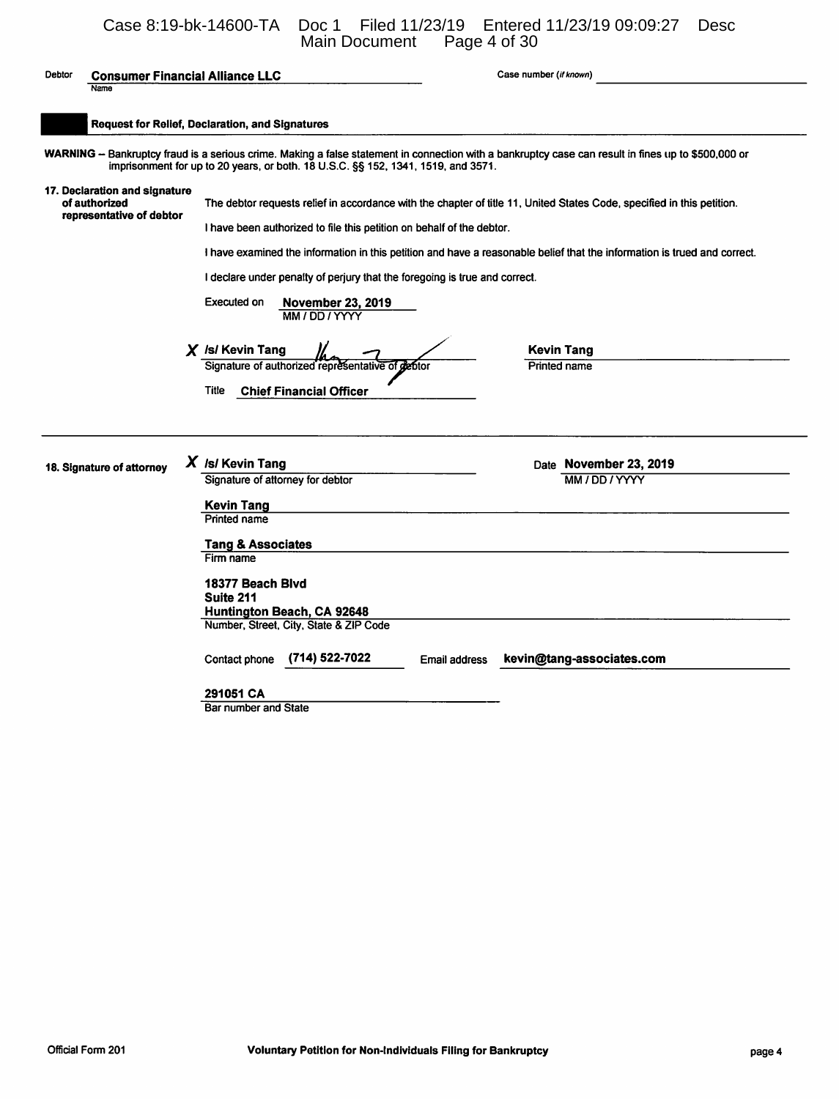# Case 8:19-bk-14600-TA Doc 1 Filed 11/23/19 Entered 11/23/19 09:09:27 Desc Main Document Page 4 of 30

| Debtor | <b>Consumer Financial Alliance LLC</b><br>Name                             |                                                                                                                                                                                     |                                                                                                                                                                                                                                                                                         |                      | Case number (if known)                                                                                                                                                                                                                                                                         |
|--------|----------------------------------------------------------------------------|-------------------------------------------------------------------------------------------------------------------------------------------------------------------------------------|-----------------------------------------------------------------------------------------------------------------------------------------------------------------------------------------------------------------------------------------------------------------------------------------|----------------------|------------------------------------------------------------------------------------------------------------------------------------------------------------------------------------------------------------------------------------------------------------------------------------------------|
|        | <b>Request for Relief, Declaration, and Signatures</b>                     |                                                                                                                                                                                     |                                                                                                                                                                                                                                                                                         |                      |                                                                                                                                                                                                                                                                                                |
|        |                                                                            |                                                                                                                                                                                     | imprisonment for up to 20 years, or both. 18 U.S.C. §§ 152, 1341, 1519, and 3571.                                                                                                                                                                                                       |                      | WARNING -- Bankruptcy fraud is a serious crime. Making a false statement in connection with a bankruptcy case can result in fines up to \$500,000 or                                                                                                                                           |
|        | 17. Declaration and signature<br>of authorized<br>representative of debtor | Executed on<br>$X$ /s/ Kevin Tang<br><b>Title</b>                                                                                                                                   | I have been authorized to file this petition on behalf of the debtor.<br>I declare under penalty of perjury that the foregoing is true and correct.<br><b>November 23, 2019</b><br>MM / DD / YYYY<br>Signature of authorized representative of gebtor<br><b>Chief Financial Officer</b> |                      | The debtor requests relief in accordance with the chapter of title 11, United States Code, specified in this petition.<br>I have examined the information in this petition and have a reasonable belief that the information is trued and correct.<br><b>Kevin Tang</b><br><b>Printed name</b> |
|        | 18. Signature of attorney                                                  | $X$ /s/ Kevin Tang<br>Signature of attorney for debtor<br>Kevin Tang<br>Printed name<br><b>Tang &amp; Associates</b><br>Firm name<br>18377 Beach Blvd<br>Suite 211<br>Contact phone | Huntington Beach, CA 92648<br>Number, Street, City, State & ZIP Code<br>(714) 522-7022                                                                                                                                                                                                  | <b>Email address</b> | Date November 23, 2019<br>MM / DD / YYYY<br>kevin@tang-associates.com                                                                                                                                                                                                                          |
|        |                                                                            | 291051 CA<br>Bar number and State                                                                                                                                                   |                                                                                                                                                                                                                                                                                         |                      |                                                                                                                                                                                                                                                                                                |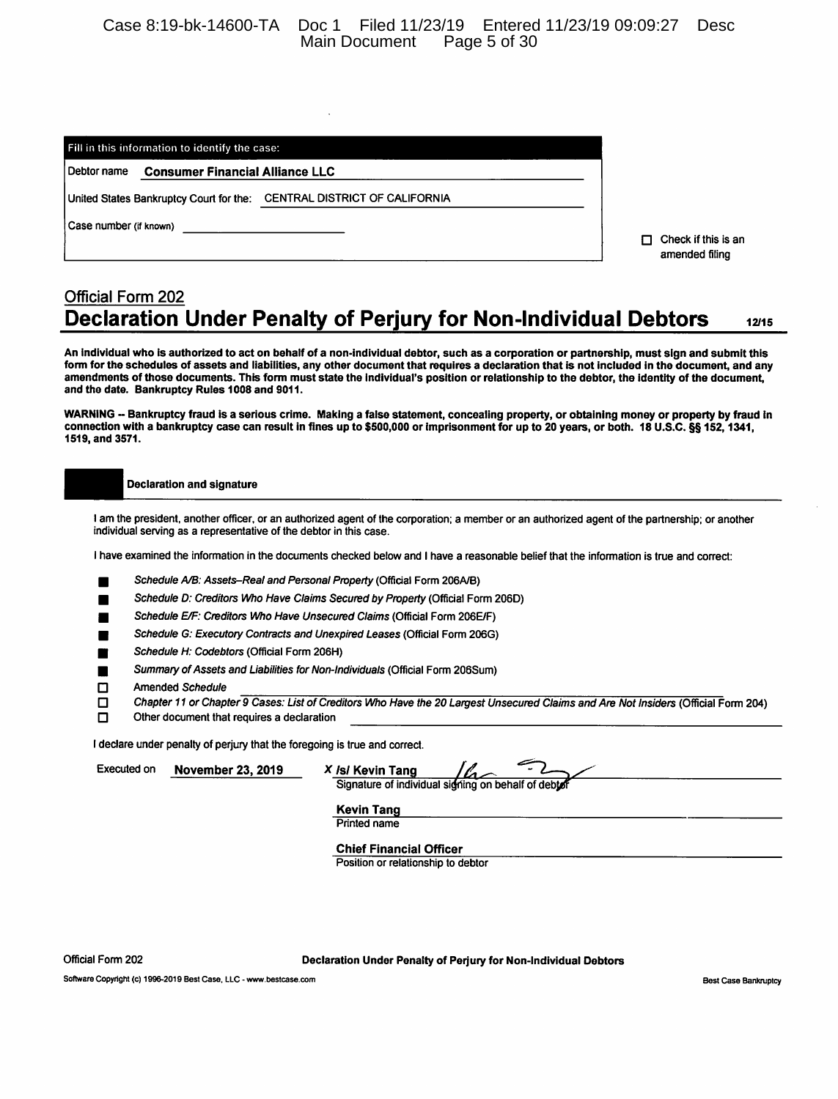Case 8:19-bk-14600-TA Doc 1 Filed 11/23/19 Entered 11/23/19 09:09:27 Desc Main Document

| Fill in this information to identify the case: |                                        |                                                                         |  |  |  |  |
|------------------------------------------------|----------------------------------------|-------------------------------------------------------------------------|--|--|--|--|
| Debtor name                                    | <b>Consumer Financial Alliance LLC</b> |                                                                         |  |  |  |  |
|                                                |                                        | United States Bankruptcy Court for the:  CENTRAL DISTRICT OF CALIFORNIA |  |  |  |  |
|                                                | Case number (if known)                 |                                                                         |  |  |  |  |
|                                                |                                        |                                                                         |  |  |  |  |

 $\Box$  Check if this is an amended filing

#### **Official Form 202 Declaration Under Penalty of Perjury for Non-Individual Debtors** 12/15

An individual who is authorized to act on behalf of a non-individual debtor, such as a corporation or partnership, must sign and submit this form for the schedules of assets and liabilities, any other document that requires a declaration that is not included in the document, and any amendments of those documents. This form must state the individual's position or relationship to the debtor, the identity of the document, and the date. Bankruptcy Rules 1008 and 9011.

WARNING -- Bankruptcy fraud is a serious crime. Making a false statement, concealing property, or obtaining money or property by fraud in connection with a bankruptcy case can result in fines up to \$500,000 or imprisonment for up to 20 years, or both. 18 U.S.C. §§ 152, 1341, 1519, and 3571.

**Declaration and signature** 

I am the president, another officer, or an authorized agent of the corporation; a member or an authorized agent of the partnership; or another individual serving as a representative of the debtor in this case.

I have examined the information in the documents checked below and I have a reasonable belief that the information is true and correct:

Schedule A/B: Assets-Real and Personal Property (Official Form 206A/B)

Schedule D: Creditors Who Have Claims Secured by Property (Official Form 206D)

Schedule E/F: Creditors Who Have Unsecured Claims (Official Form 206E/F)

Schedule G: Executory Contracts and Unexpired Leases (Official Form 206G)

Schedule H: Codebtors (Official Form 206H)

Summary of Assets and Liabilities for Non-Individuals (Official Form 206Sum) ▅

Amended Schedule М

Chapter 11 or Chapter 9 Cases: List of Creditors Who Have the 20 Largest Unsecured Claims and Are Not Insiders (Official Form 204) □

n Other document that requires a declaration

I declare under penalty of perjury that the foregoing is true and correct.

**Executed on November 23, 2019**  X /s/ Kevin Tang سلگا Signature of individual signing on behalf of debto

**Kevin Tang** 

**Printed name** 

**Chief Financial Officer** Position or relationship to debtor

Official Form 202

Declaration Under Penalty of Perjury for Non-Individual Debtors

Software Copyright (c) 1996-2019 Best Case, LLC - www.bestcase.com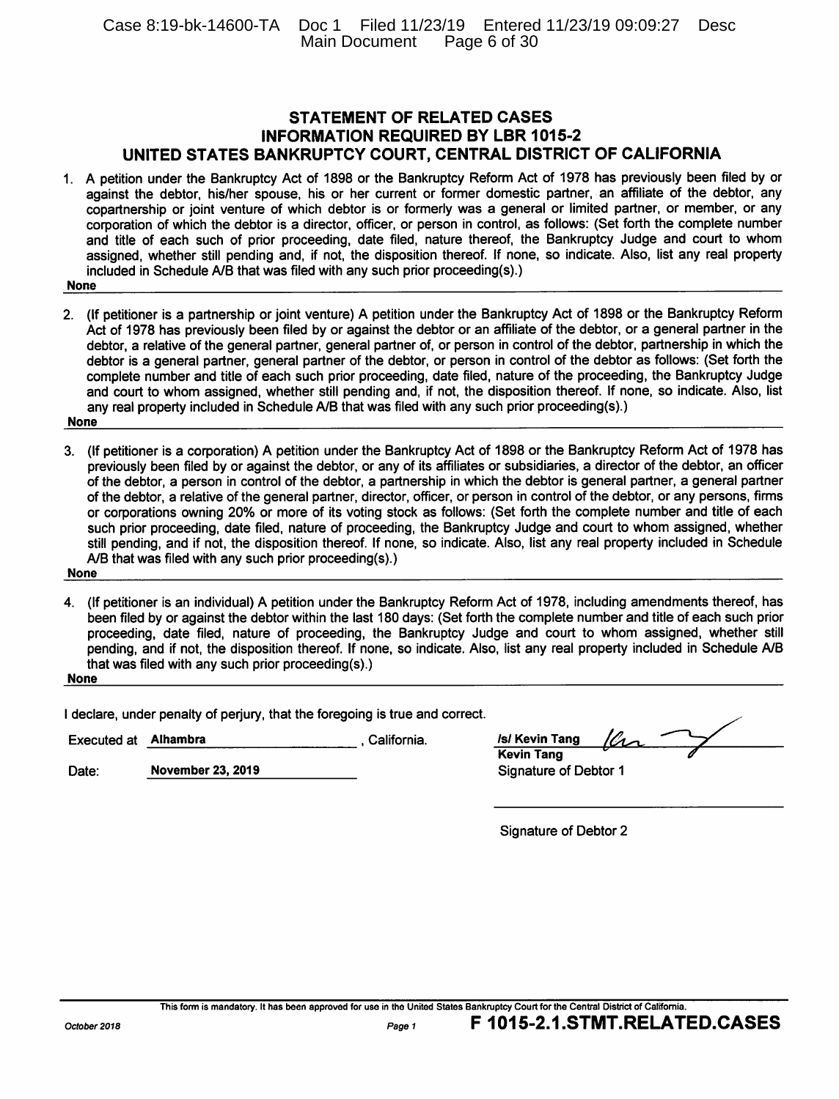## **STATEMENT OF RELATED CASES INFORMATION REQUIRED BY LBR 1015-2** UNITED STATES BANKRUPTCY COURT, CENTRAL DISTRICT OF CALIFORNIA

- 1. A petition under the Bankruptcy Act of 1898 or the Bankruptcy Reform Act of 1978 has previously been filed by or against the debtor, his/her spouse, his or her current or former domestic partner, an affiliate of the debtor, any copartnership or joint venture of which debtor is or formerly was a general or limited partner, or member, or any corporation of which the debtor is a director, officer, or person in control, as follows: (Set forth the complete number and title of each such of prior proceeding, date filed, nature thereof, the Bankruptcy Judge and court to whom assigned, whether still pending and, if not, the disposition thereof. If none, so indicate. Also, list any real property included in Schedule A/B that was filed with any such prior proceeding(s).)
- **None**
- 2. (If petitioner is a partnership or joint venture) A petition under the Bankruptcy Act of 1898 or the Bankruptcy Reform Act of 1978 has previously been filed by or against the debtor or an affiliate of the debtor, or a general partner in the debtor, a relative of the general partner, general partner of, or person in control of the debtor, partnership in which the debtor is a general partner, general partner of the debtor, or person in control of the debtor as follows: (Set forth the complete number and title of each such prior proceeding, date filed, nature of the proceeding, the Bankruptcy Judge and court to whom assigned, whether still pending and, if not, the disposition thereof. If none, so indicate. Also, list any real property included in Schedule A/B that was filed with any such prior proceeding(s).) **None**
- 3. (If petitioner is a corporation) A petition under the Bankruptcy Act of 1898 or the Bankruptcy Reform Act of 1978 has previously been filed by or against the debtor, or any of its affiliates or subsidiaries, a director of the debtor, an officer of the debtor, a person in control of the debtor, a partnership in which the debtor is general partner, a general partner of the debtor, a relative of the general partner, director, officer, or person in control of the debtor, or any persons, firms or corporations owning 20% or more of its voting stock as follows: (Set forth the complete number and title of each such prior proceeding, date filed, nature of proceeding, the Bankruptcy Judge and court to whom assigned, whether still pending, and if not, the disposition thereof. If none, so indicate. Also, list any real property included in Schedule A/B that was filed with any such prior proceeding(s).)

**None** 

4. (If petitioner is an individual) A petition under the Bankruptcy Reform Act of 1978, including amendments thereof, has been filed by or against the debtor within the last 180 days: (Set forth the complete number and title of each such prior proceeding, date filed, nature of proceeding, the Bankruptcy Judge and court to whom assigned, whether still pending, and if not, the disposition thereof. If none, so indicate. Also, list any real property included in Schedule A/B that was filed with any such prior proceeding(s).)

**None** 

I declare, under penalty of perjury, that the foregoing is true and correct.

**Executed at Alhambra** California.

Date: **November 23, 2019** 

| <b>/s/ Kevin Tang</b> | 10 <sub>2</sub> |  |
|-----------------------|-----------------|--|
| <b>Kevin Tang</b>     |                 |  |
| Signature of Debtor 1 |                 |  |

**Signature of Debtor 2**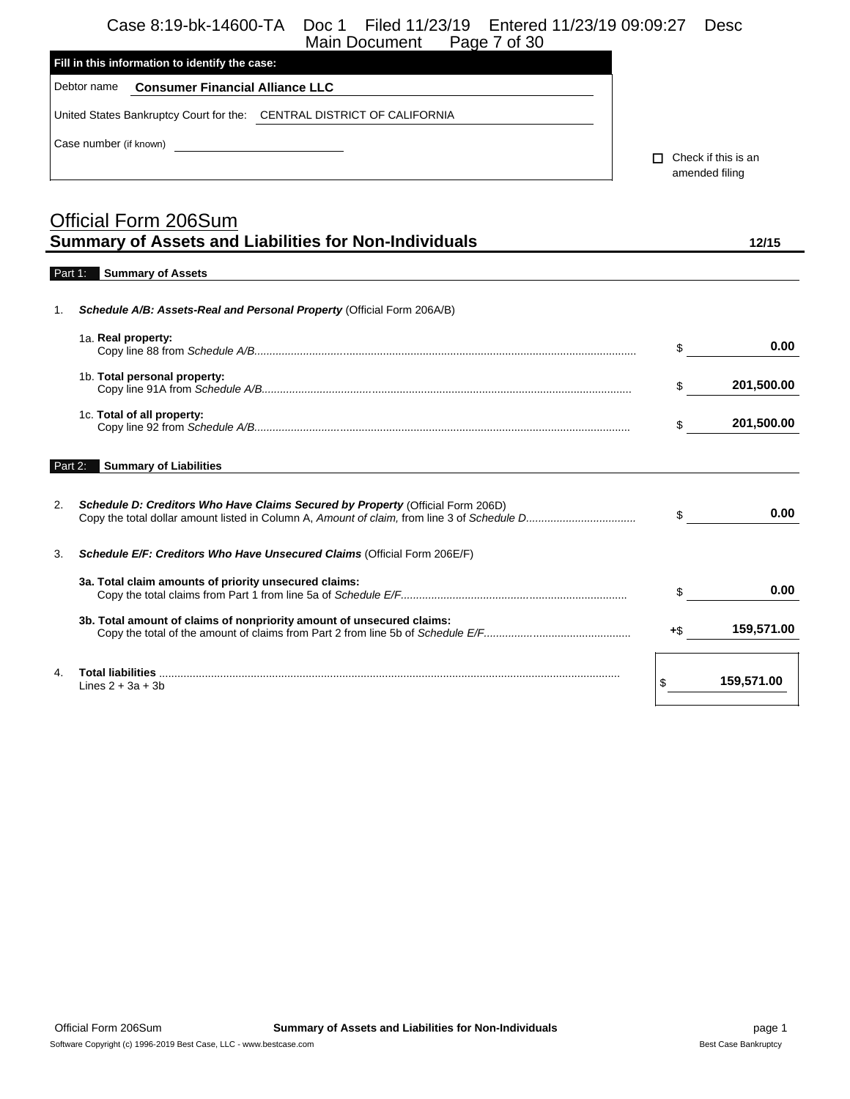# Case 8:19-bk-14600-TA Doc 1 Filed 11/23/19 Entered 11/23/19 09:09:27 Desc

|                | Case o.19-DK-14000-TA<br>DOC T<br>LIIGU TTI TII TA<br>ETTELED TTI 29172 09.09.21<br>Page 7 of 30<br>Main Document |        | <b>DESC</b>         |
|----------------|-------------------------------------------------------------------------------------------------------------------|--------|---------------------|
|                | Fill in this information to identify the case:                                                                    |        |                     |
|                | Debtor name<br><b>Consumer Financial Alliance LLC</b>                                                             |        |                     |
|                | United States Bankruptcy Court for the: CENTRAL DISTRICT OF CALIFORNIA                                            |        |                     |
|                | Case number (if known)<br><u> 1980 - Johann Barbara, martin a</u>                                                 |        |                     |
|                |                                                                                                                   | П.     | Check if this is an |
|                |                                                                                                                   |        | amended filing      |
|                | <b>Official Form 206Sum</b>                                                                                       |        |                     |
|                | <b>Summary of Assets and Liabilities for Non-Individuals</b>                                                      |        | 12/15               |
|                |                                                                                                                   |        |                     |
|                | Part 1: Summary of Assets                                                                                         |        |                     |
| $\mathbf{1}$ . | Schedule A/B: Assets-Real and Personal Property (Official Form 206A/B)                                            |        |                     |
|                | 1a. Real property:                                                                                                | \$     | 0.00                |
|                | 1b. Total personal property:                                                                                      | \$     | 201,500.00          |
|                | 1c. Total of all property:                                                                                        | \$     | 201,500.00          |
| Part 2:        | <b>Summary of Liabilities</b>                                                                                     |        |                     |
| 2.             | Schedule D: Creditors Who Have Claims Secured by Property (Official Form 206D)                                    | $\sim$ | 0.00                |
| 3.             | Schedule E/F: Creditors Who Have Unsecured Claims (Official Form 206E/F)                                          |        |                     |
|                | 3a. Total claim amounts of priority unsecured claims:                                                             | \$     | 0.00                |
|                |                                                                                                                   |        |                     |
|                | 3b. Total amount of claims of nonpriority amount of unsecured claims:                                             | +\$    | 159,571.00          |
| $\mathbf{4}$   |                                                                                                                   |        | 159,571.00          |
|                | Lines $2 + 3a + 3b$                                                                                               |        |                     |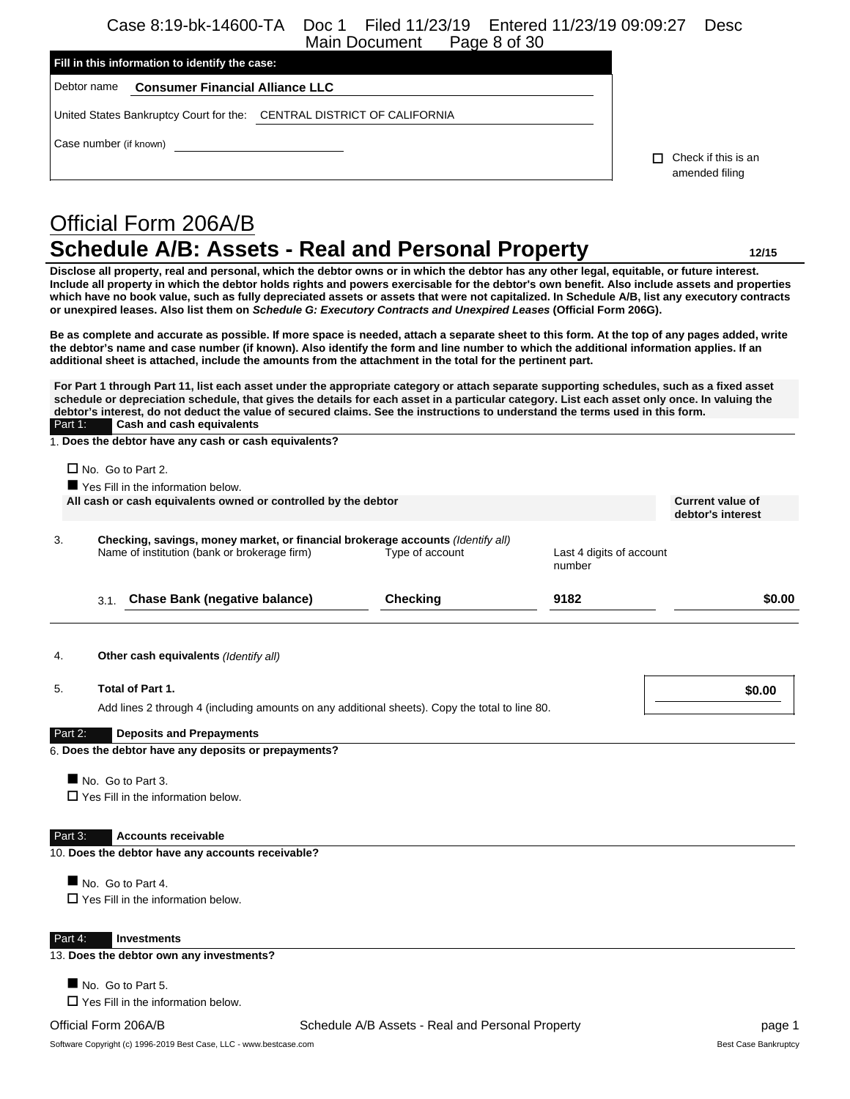Case 8:19-bk-14600-TA Doc 1 Filed 11/23/19 Entered 11/23/19 09:09:27 Desc Main Document

| Fill in this information to identify the case: |                                        |                                                                        |    |                     |
|------------------------------------------------|----------------------------------------|------------------------------------------------------------------------|----|---------------------|
| Debtor name                                    | <b>Consumer Financial Alliance LLC</b> |                                                                        |    |                     |
|                                                |                                        | United States Bankruptcy Court for the: CENTRAL DISTRICT OF CALIFORNIA |    |                     |
| Case number (if known)                         |                                        |                                                                        | п. | Check if this is an |
|                                                |                                        |                                                                        |    | amended filing      |
|                                                |                                        |                                                                        |    |                     |

# Official Form 206A/B **Schedule A/B: Assets - Real and Personal Property 12/15**

**Disclose all property, real and personal, which the debtor owns or in which the debtor has any other legal, equitable, or future interest. Include all property in which the debtor holds rights and powers exercisable for the debtor's own benefit. Also include assets and properties which have no book value, such as fully depreciated assets or assets that were not capitalized. In Schedule A/B, list any executory contracts or unexpired leases. Also list them on** *Schedule G: Executory Contracts and Unexpired Leases* **(Official Form 206G).**

**Be as complete and accurate as possible. If more space is needed, attach a separate sheet to this form. At the top of any pages added, write the debtor's name and case number (if known). Also identify the form and line number to which the additional information applies. If an additional sheet is attached, include the amounts from the attachment in the total for the pertinent part.**

**For Part 1 through Part 11, list each asset under the appropriate category or attach separate supporting schedules, such as a fixed asset schedule or depreciation schedule, that gives the details for each asset in a particular category. List each asset only once. In valuing the debtor's interest, do not deduct the value of secured claims. See the instructions to understand the terms used in this form.** Part 1: **Cash and cash equivalents**

**All cash or cash equivalents owned or controlled by the debtor Current value of**

1. **Does the debtor have any cash or cash equivalents?**

 $\Box$  No. Go to Part 2.

Yes Fill in the information below.

3. **Checking, savings, money market, or financial brokerage accounts** *(Identify all)*

Name of institution (bank or brokerage firm) Type of account Last 4 digits of account number

3.1. **Chase Bank (negative balance) Checking 9182 \$0.00**

#### 4. **Other cash equivalents** *(Identify all)*

5. **Total of Part 1. \$0.00** Add lines 2 through 4 (including amounts on any additional sheets). Copy the total to line 80.

**debtor's interest**

Part 2: **Deposits and Prepayments**

6. **Does the debtor have any deposits or prepayments?**

No. Go to Part 3.

Yes Fill in the information below.

#### Part 3: **Accounts receivable**

10. **Does the debtor have any accounts receivable?**

No. Go to Part 4.

 $\Box$  Yes Fill in the information below.

#### Part 4: **Investments**

13. **Does the debtor own any investments?**

No. Go to Part 5.

Yes Fill in the information below.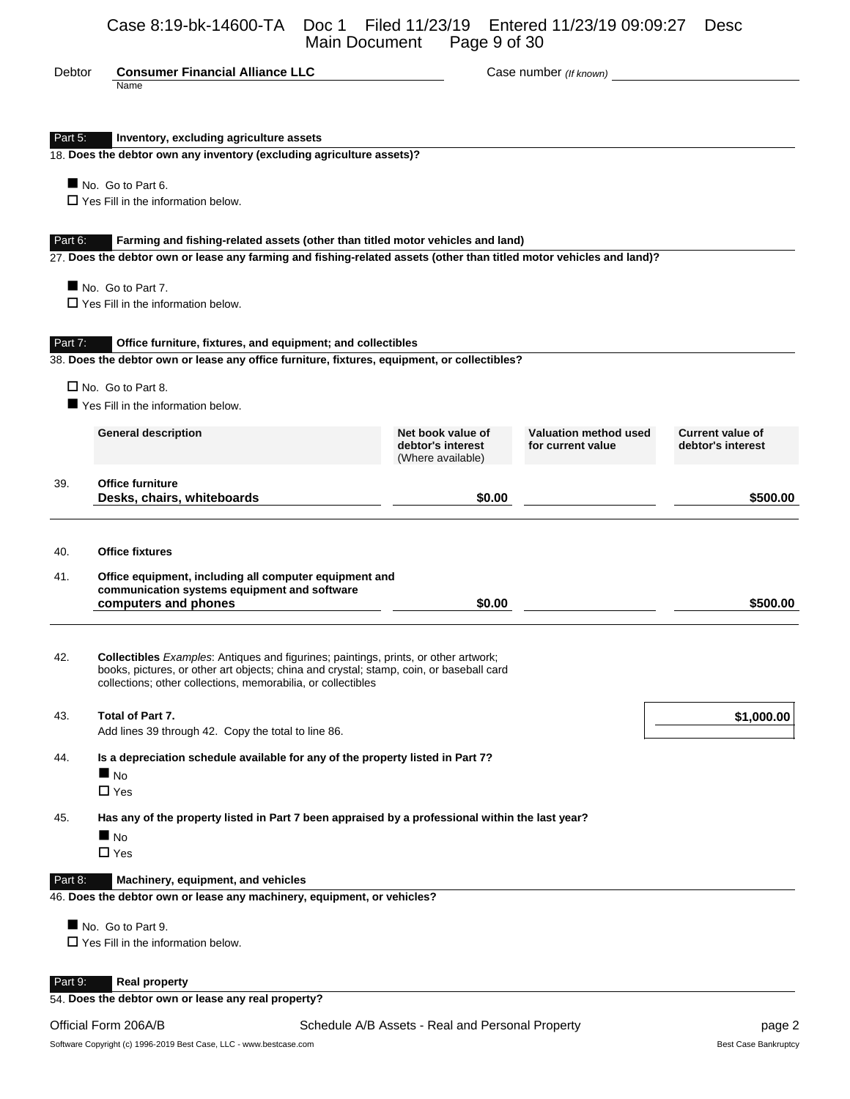### Case 8:19-bk-14600-TA Doc 1 Filed 11/23/19 Entered 11/23/19 09:09:27 Desc Main Document Page 9 of 30

| Debtor  | <b>Consumer Financial Alliance LLC</b>                                                                                                                                                                                                                |                                                             | Case number (If known)                     |                                              |
|---------|-------------------------------------------------------------------------------------------------------------------------------------------------------------------------------------------------------------------------------------------------------|-------------------------------------------------------------|--------------------------------------------|----------------------------------------------|
|         | Name                                                                                                                                                                                                                                                  |                                                             |                                            |                                              |
| Part 5: | Inventory, excluding agriculture assets                                                                                                                                                                                                               |                                                             |                                            |                                              |
|         | 18. Does the debtor own any inventory (excluding agriculture assets)?                                                                                                                                                                                 |                                                             |                                            |                                              |
|         | No. Go to Part 6.<br>$\Box$ Yes Fill in the information below.                                                                                                                                                                                        |                                                             |                                            |                                              |
|         |                                                                                                                                                                                                                                                       |                                                             |                                            |                                              |
| Part 6: | Farming and fishing-related assets (other than titled motor vehicles and land)<br>27. Does the debtor own or lease any farming and fishing-related assets (other than titled motor vehicles and land)?                                                |                                                             |                                            |                                              |
|         | No. Go to Part 7.                                                                                                                                                                                                                                     |                                                             |                                            |                                              |
|         | $\Box$ Yes Fill in the information below.                                                                                                                                                                                                             |                                                             |                                            |                                              |
| Part 7: | Office furniture, fixtures, and equipment; and collectibles                                                                                                                                                                                           |                                                             |                                            |                                              |
|         | 38. Does the debtor own or lease any office furniture, fixtures, equipment, or collectibles?                                                                                                                                                          |                                                             |                                            |                                              |
|         | $\Box$ No. Go to Part 8.                                                                                                                                                                                                                              |                                                             |                                            |                                              |
|         | Yes Fill in the information below.                                                                                                                                                                                                                    |                                                             |                                            |                                              |
|         | <b>General description</b>                                                                                                                                                                                                                            | Net book value of<br>debtor's interest<br>(Where available) | Valuation method used<br>for current value | <b>Current value of</b><br>debtor's interest |
| 39.     | <b>Office furniture</b>                                                                                                                                                                                                                               |                                                             |                                            |                                              |
|         | Desks, chairs, whiteboards                                                                                                                                                                                                                            | \$0.00                                                      |                                            | \$500.00                                     |
| 40.     | <b>Office fixtures</b>                                                                                                                                                                                                                                |                                                             |                                            |                                              |
| 41.     | Office equipment, including all computer equipment and<br>communication systems equipment and software<br>computers and phones                                                                                                                        | \$0.00                                                      |                                            | \$500.00                                     |
| 42.     | <b>Collectibles</b> Examples: Antiques and figurines; paintings, prints, or other artwork;<br>books, pictures, or other art objects; china and crystal; stamp, coin, or baseball card<br>collections; other collections, memorabilia, or collectibles |                                                             |                                            |                                              |
| 43.     | Total of Part 7.<br>Add lines 39 through 42. Copy the total to line 86.                                                                                                                                                                               |                                                             |                                            | \$1,000.00                                   |
| 44.     | Is a depreciation schedule available for any of the property listed in Part 7?<br>$\blacksquare$ No                                                                                                                                                   |                                                             |                                            |                                              |
|         | $\Box$ Yes<br>Has any of the property listed in Part 7 been appraised by a professional within the last year?                                                                                                                                         |                                                             |                                            |                                              |
| 45.     | N <sub>O</sub>                                                                                                                                                                                                                                        |                                                             |                                            |                                              |
|         | $\Box$ Yes                                                                                                                                                                                                                                            |                                                             |                                            |                                              |
| Part 8: | Machinery, equipment, and vehicles<br>46. Does the debtor own or lease any machinery, equipment, or vehicles?                                                                                                                                         |                                                             |                                            |                                              |
|         |                                                                                                                                                                                                                                                       |                                                             |                                            |                                              |
|         | No. Go to Part 9.<br>$\square$ Yes Fill in the information below.                                                                                                                                                                                     |                                                             |                                            |                                              |
| Part 9: | <b>Real property</b>                                                                                                                                                                                                                                  |                                                             |                                            |                                              |
|         |                                                                                                                                                                                                                                                       |                                                             |                                            |                                              |

54. **Does the debtor own or lease any real property?**

Official Form 206A/B **Schedule A/B Assets - Real and Personal Property** Page 2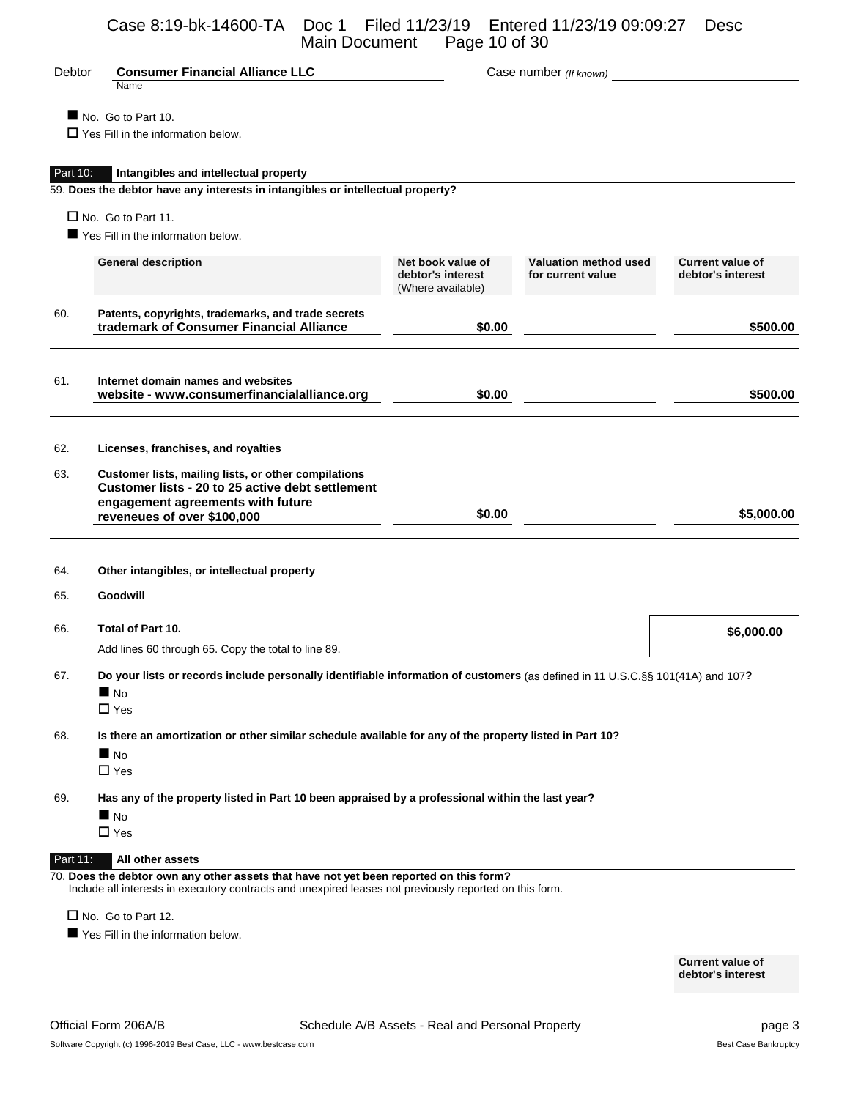# Case 8:19-bk-14600-TA Doc 1 Filed 11/23/19 Entered 11/23/19 09:09:27 Desc Main Document Page 10 of 30

| Debtor   | <b>Consumer Financial Alliance LLC</b><br>Name                                                                                                                               |                                        | Case number (If known)                       |                         |
|----------|------------------------------------------------------------------------------------------------------------------------------------------------------------------------------|----------------------------------------|----------------------------------------------|-------------------------|
|          |                                                                                                                                                                              |                                        |                                              |                         |
|          | No. Go to Part 10.<br>$\Box$ Yes Fill in the information below.                                                                                                              |                                        |                                              |                         |
|          |                                                                                                                                                                              |                                        |                                              |                         |
| Part 10: | Intangibles and intellectual property<br>59. Does the debtor have any interests in intangibles or intellectual property?                                                     |                                        |                                              |                         |
|          |                                                                                                                                                                              |                                        |                                              |                         |
|          | $\Box$ No. Go to Part 11.<br>Yes Fill in the information below.                                                                                                              |                                        |                                              |                         |
|          |                                                                                                                                                                              | Net book value of                      | Valuation method used                        | <b>Current value of</b> |
|          | <b>General description</b>                                                                                                                                                   | debtor's interest<br>(Where available) | for current value                            | debtor's interest       |
| 60.      | Patents, copyrights, trademarks, and trade secrets<br>trademark of Consumer Financial Alliance                                                                               | \$0.00                                 | the control of the control of the control of | \$500.00                |
| 61.      | Internet domain names and websites<br>website - www.consumerfinancialalliance.org                                                                                            | \$0.00                                 |                                              | \$500.00                |
| 62.      | Licenses, franchises, and royalties                                                                                                                                          |                                        |                                              |                         |
| 63.      | Customer lists, mailing lists, or other compilations<br>Customer lists - 20 to 25 active debt settlement<br>engagement agreements with future<br>reveneues of over \$100,000 | \$0.00                                 |                                              | \$5,000.00              |
| 64.      | Other intangibles, or intellectual property                                                                                                                                  |                                        |                                              |                         |
| 65.      | Goodwill                                                                                                                                                                     |                                        |                                              |                         |
| 66.      | Total of Part 10.                                                                                                                                                            |                                        |                                              | \$6,000.00              |
|          | Add lines 60 through 65. Copy the total to line 89.                                                                                                                          |                                        |                                              |                         |
| 67.      | Do your lists or records include personally identifiable information of customers (as defined in 11 U.S.C.§§ 101(41A) and 107?<br>$\blacksquare$ No<br>$\Box$ Yes            |                                        |                                              |                         |
| 68.      | Is there an amortization or other similar schedule available for any of the property listed in Part 10?                                                                      |                                        |                                              |                         |
|          | $\blacksquare$ No<br>$\Box$ Yes                                                                                                                                              |                                        |                                              |                         |
| 69.      | Has any of the property listed in Part 10 been appraised by a professional within the last year?                                                                             |                                        |                                              |                         |
|          | $\blacksquare$ No                                                                                                                                                            |                                        |                                              |                         |
|          | $\Box$ Yes                                                                                                                                                                   |                                        |                                              |                         |
| Part 11: | All other assets<br>70. Does the debtor own any other assets that have not yet been reported on this form?                                                                   |                                        |                                              |                         |
|          | Include all interests in executory contracts and unexpired leases not previously reported on this form.                                                                      |                                        |                                              |                         |
|          | $\Box$ No. Go to Part 12.                                                                                                                                                    |                                        |                                              |                         |
|          | Yes Fill in the information below.                                                                                                                                           |                                        |                                              |                         |

**Current value of debtor's interest**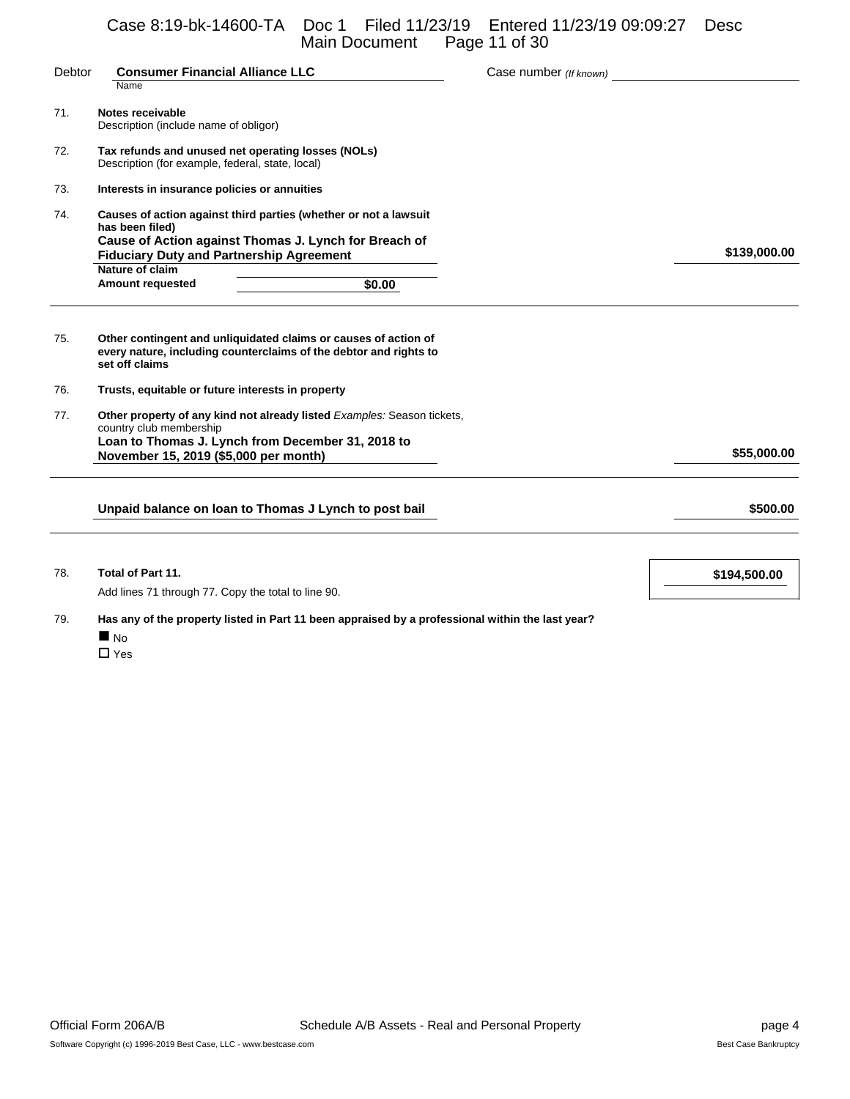Case 8:19-bk-14600-TA Doc 1 Filed 11/23/19 Entered 11/23/19 09:09:27 Desc Main Document Page 11 of 30

| Debtor | <b>Consumer Financial Alliance LLC</b><br>Name                                                                                                                                                  | Case number (If known) |              |
|--------|-------------------------------------------------------------------------------------------------------------------------------------------------------------------------------------------------|------------------------|--------------|
| 71.    | Notes receivable<br>Description (include name of obligor)                                                                                                                                       |                        |              |
| 72.    | Tax refunds and unused net operating losses (NOLs)<br>Description (for example, federal, state, local)                                                                                          |                        |              |
| 73.    | Interests in insurance policies or annuities                                                                                                                                                    |                        |              |
| 74.    | Causes of action against third parties (whether or not a lawsuit<br>has been filed)<br>Cause of Action against Thomas J. Lynch for Breach of<br><b>Fiduciary Duty and Partnership Agreement</b> |                        | \$139,000.00 |
|        | Nature of claim<br><b>Amount requested</b><br>\$0.00                                                                                                                                            |                        |              |
| 75.    | Other contingent and unliquidated claims or causes of action of<br>every nature, including counterclaims of the debtor and rights to<br>set off claims                                          |                        |              |
| 76.    | Trusts, equitable or future interests in property                                                                                                                                               |                        |              |
| 77.    | Other property of any kind not already listed Examples: Season tickets,<br>country club membership<br>Loan to Thomas J. Lynch from December 31, 2018 to                                         |                        |              |
|        | November 15, 2019 (\$5,000 per month)                                                                                                                                                           |                        | \$55,000.00  |
|        | Unpaid balance on loan to Thomas J Lynch to post bail                                                                                                                                           |                        | \$500.00     |
|        |                                                                                                                                                                                                 |                        |              |
|        |                                                                                                                                                                                                 |                        |              |

78. **Total of Part 11. \$194,500.00**

Add lines 71 through 77. Copy the total to line 90.

- 79. **Has any of the property listed in Part 11 been appraised by a professional within the last year?**
	- $\blacksquare$  No

□ Yes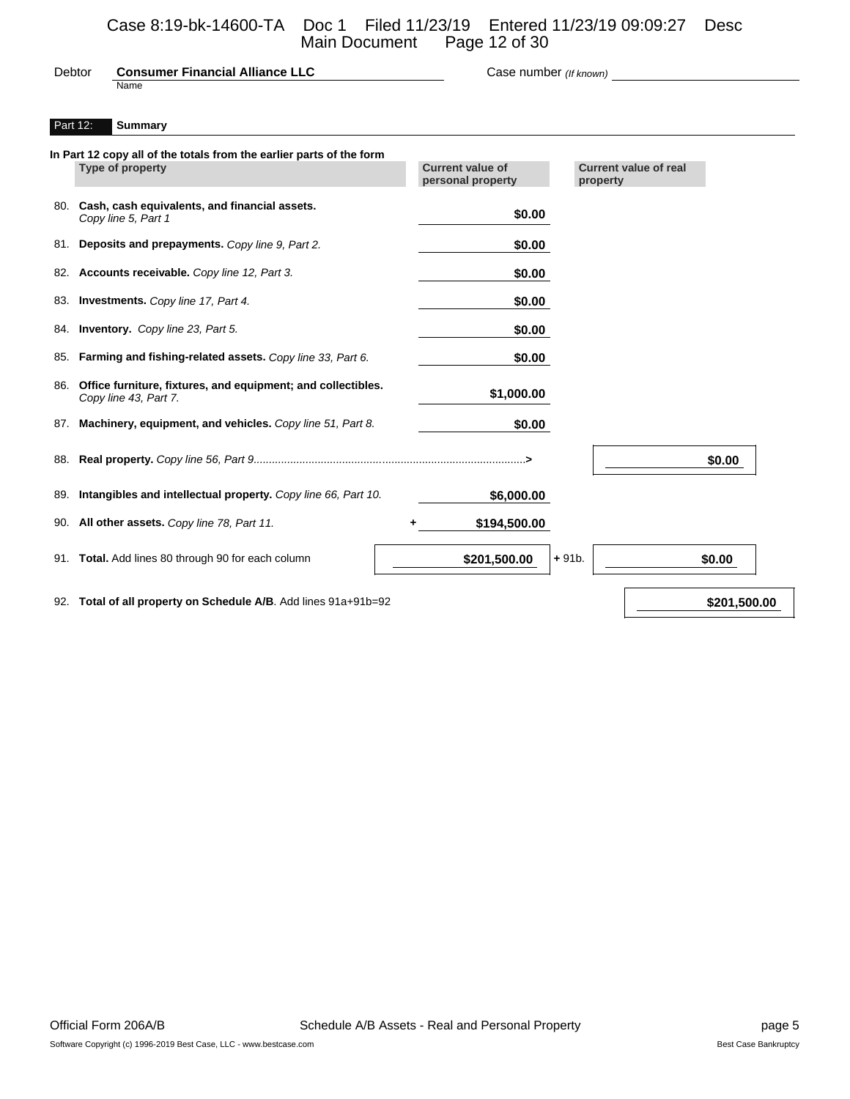#### Debtor **Consumer Financial Alliance LLC** Case number *(If known)* Name

#### Part 12: **Summary**

|     | In Part 12 copy all of the totals from the earlier parts of the form<br>Type of property | <b>Current value of</b><br>personal property | <b>Current value of real</b><br>property |        |
|-----|------------------------------------------------------------------------------------------|----------------------------------------------|------------------------------------------|--------|
|     | 80. Cash, cash equivalents, and financial assets.<br>Copy line 5, Part 1                 | \$0.00                                       |                                          |        |
| 81. | Deposits and prepayments. Copy line 9, Part 2.                                           | \$0.00                                       |                                          |        |
| 82. | Accounts receivable. Copy line 12, Part 3.                                               | \$0.00                                       |                                          |        |
|     | 83. Investments. Copy line 17, Part 4.                                                   | \$0.00                                       |                                          |        |
|     | 84. <b>Inventory.</b> Copy line 23, Part 5.                                              | \$0.00                                       |                                          |        |
| 85. | Farming and fishing-related assets. Copy line 33, Part 6.                                | \$0.00                                       |                                          |        |
| 86. | Office furniture, fixtures, and equipment; and collectibles.<br>Copy line 43, Part 7.    | \$1,000.00                                   |                                          |        |
| 87. | Machinery, equipment, and vehicles. Copy line 51, Part 8.                                | \$0.00                                       |                                          |        |
| 88. |                                                                                          |                                              |                                          | \$0.00 |
| 89. | Intangibles and intellectual property. Copy line 66, Part 10.                            | \$6,000.00                                   |                                          |        |
| 90. | All other assets. Copy line 78, Part 11.                                                 | \$194,500.00                                 |                                          |        |
| 91. | Total. Add lines 80 through 90 for each column                                           | \$201,500.00                                 | $+91b.$                                  | \$0.00 |
|     |                                                                                          |                                              |                                          |        |

92. **Total of all property on Schedule A/B**. Add lines 91a+91b=92 **\$201,500.00 \$201,500.00**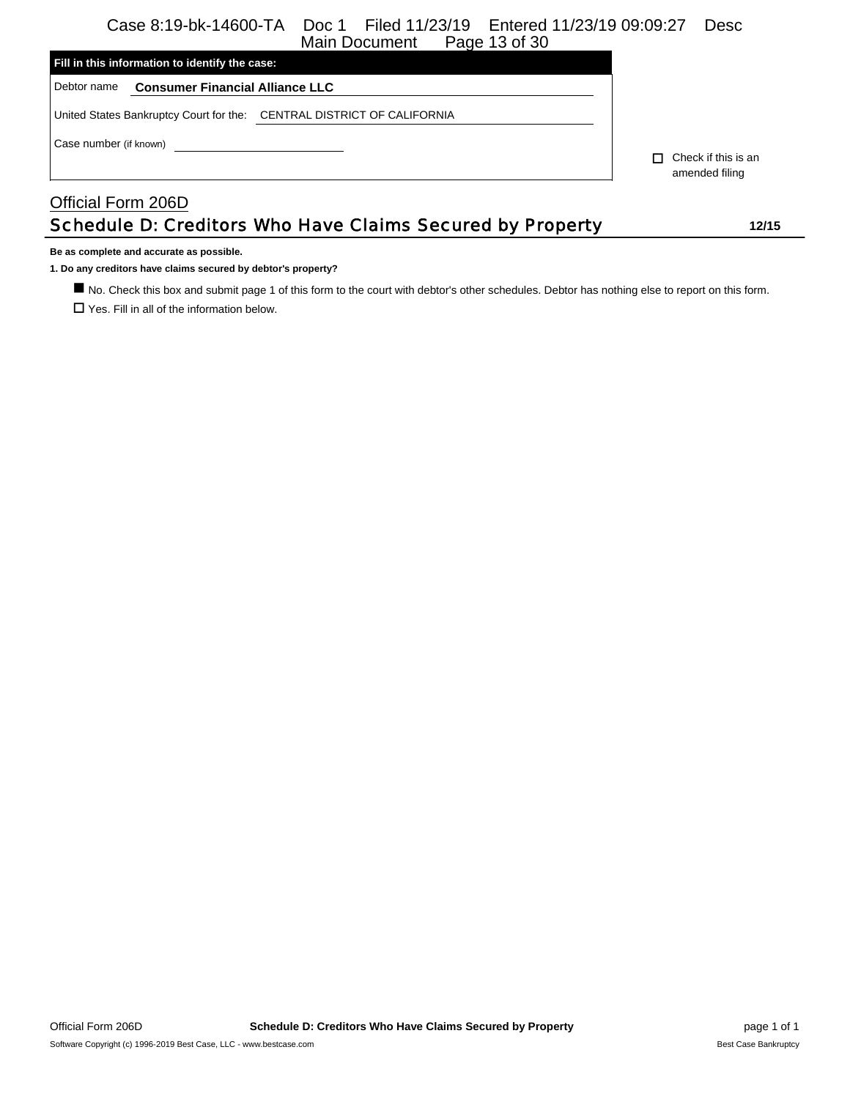# Case 8:19-bk-14600-TA Doc 1 Filed 11/23/19 Entered 11/23/19 09:09:27 Desc

| Page 13 of 30<br>Main Document                                         |                                              |
|------------------------------------------------------------------------|----------------------------------------------|
| Fill in this information to identify the case:                         |                                              |
| Debtor name<br><b>Consumer Financial Alliance LLC</b>                  |                                              |
| United States Bankruptcy Court for the: CENTRAL DISTRICT OF CALIFORNIA |                                              |
| Case number (if known)                                                 |                                              |
|                                                                        | $\Box$ Check if this is an<br>amended filing |
| Official Form 206D                                                     |                                              |
| Schedule D: Creditors Who Have Claims Secured by Property              | 12/15                                        |

**Be as complete and accurate as possible.**

**1. Do any creditors have claims secured by debtor's property?**

 No. Check this box and submit page 1 of this form to the court with debtor's other schedules. Debtor has nothing else to report on this form.  $\square$  Yes. Fill in all of the information below.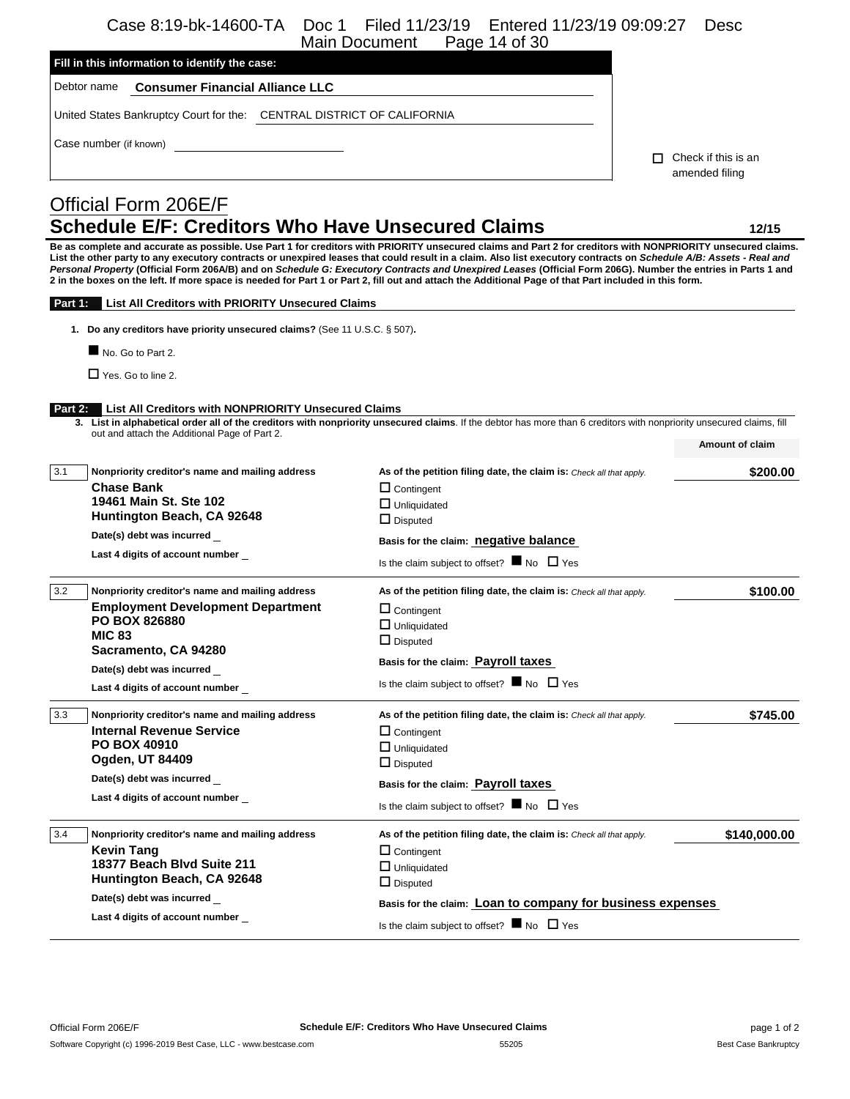Case 8:19-bk-14600-TA Doc 1 Filed 11/23/19 Entered 11/23/19 09:09:27 Desc

|                                                                                                                                                                                                                                                                                                                                                                                                                                                                                                                                                                                                                                                             | Page 14 of 30<br><b>Main Document</b>                                                    |                                             |
|-------------------------------------------------------------------------------------------------------------------------------------------------------------------------------------------------------------------------------------------------------------------------------------------------------------------------------------------------------------------------------------------------------------------------------------------------------------------------------------------------------------------------------------------------------------------------------------------------------------------------------------------------------------|------------------------------------------------------------------------------------------|---------------------------------------------|
| Fill in this information to identify the case:                                                                                                                                                                                                                                                                                                                                                                                                                                                                                                                                                                                                              |                                                                                          |                                             |
| Debtor name<br><b>Consumer Financial Alliance LLC</b>                                                                                                                                                                                                                                                                                                                                                                                                                                                                                                                                                                                                       |                                                                                          |                                             |
| United States Bankruptcy Court for the: CENTRAL DISTRICT OF CALIFORNIA                                                                                                                                                                                                                                                                                                                                                                                                                                                                                                                                                                                      |                                                                                          |                                             |
|                                                                                                                                                                                                                                                                                                                                                                                                                                                                                                                                                                                                                                                             |                                                                                          |                                             |
| Case number (if known)                                                                                                                                                                                                                                                                                                                                                                                                                                                                                                                                                                                                                                      |                                                                                          | Check if this is an<br>П.<br>amended filing |
| Official Form 206E/F                                                                                                                                                                                                                                                                                                                                                                                                                                                                                                                                                                                                                                        |                                                                                          |                                             |
| <b>Schedule E/F: Creditors Who Have Unsecured Claims</b>                                                                                                                                                                                                                                                                                                                                                                                                                                                                                                                                                                                                    |                                                                                          | 12/15                                       |
| Be as complete and accurate as possible. Use Part 1 for creditors with PRIORITY unsecured claims and Part 2 for creditors with NONPRIORITY unsecured claims.<br>List the other party to any executory contracts or unexpired leases that could result in a claim. Also list executory contracts on Schedule A/B: Assets - Real and<br>Personal Property (Official Form 206A/B) and on Schedule G: Executory Contracts and Unexpired Leases (Official Form 206G). Number the entries in Parts 1 and<br>2 in the boxes on the left. If more space is needed for Part 1 or Part 2, fill out and attach the Additional Page of that Part included in this form. |                                                                                          |                                             |
| List All Creditors with PRIORITY Unsecured Claims<br>Part 1:                                                                                                                                                                                                                                                                                                                                                                                                                                                                                                                                                                                                |                                                                                          |                                             |
| 1. Do any creditors have priority unsecured claims? (See 11 U.S.C. § 507).                                                                                                                                                                                                                                                                                                                                                                                                                                                                                                                                                                                  |                                                                                          |                                             |
| No. Go to Part 2.                                                                                                                                                                                                                                                                                                                                                                                                                                                                                                                                                                                                                                           |                                                                                          |                                             |
| $\Box$ Yes. Go to line 2.                                                                                                                                                                                                                                                                                                                                                                                                                                                                                                                                                                                                                                   |                                                                                          |                                             |
|                                                                                                                                                                                                                                                                                                                                                                                                                                                                                                                                                                                                                                                             |                                                                                          |                                             |
| List All Creditors with NONPRIORITY Unsecured Claims<br>Part 2:<br>3. List in alphabetical order all of the creditors with nonpriority unsecured claims. If the debtor has more than 6 creditors with nonpriority unsecured claims, fill                                                                                                                                                                                                                                                                                                                                                                                                                    |                                                                                          |                                             |
| out and attach the Additional Page of Part 2.                                                                                                                                                                                                                                                                                                                                                                                                                                                                                                                                                                                                               |                                                                                          | Amount of claim                             |
|                                                                                                                                                                                                                                                                                                                                                                                                                                                                                                                                                                                                                                                             |                                                                                          |                                             |
| 3.1<br>Nonpriority creditor's name and mailing address<br><b>Chase Bank</b>                                                                                                                                                                                                                                                                                                                                                                                                                                                                                                                                                                                 | As of the petition filing date, the claim is: Check all that apply.<br>$\Box$ Contingent | \$200.00                                    |
| 19461 Main St. Ste 102                                                                                                                                                                                                                                                                                                                                                                                                                                                                                                                                                                                                                                      | $\Box$ Unliquidated                                                                      |                                             |
| Huntington Beach, CA 92648                                                                                                                                                                                                                                                                                                                                                                                                                                                                                                                                                                                                                                  | $\Box$ Disputed                                                                          |                                             |
| Date(s) debt was incurred                                                                                                                                                                                                                                                                                                                                                                                                                                                                                                                                                                                                                                   | Basis for the claim: negative balance                                                    |                                             |
| Last 4 digits of account number                                                                                                                                                                                                                                                                                                                                                                                                                                                                                                                                                                                                                             | Is the claim subject to offset? $\blacksquare$ No $\Box$ Yes                             |                                             |
| 3.2<br>Nonpriority creditor's name and mailing address                                                                                                                                                                                                                                                                                                                                                                                                                                                                                                                                                                                                      | As of the petition filing date, the claim is: Check all that apply.                      | \$100.00                                    |
| <b>Employment Development Department</b>                                                                                                                                                                                                                                                                                                                                                                                                                                                                                                                                                                                                                    | $\Box$ Contingent                                                                        |                                             |
| <b>PO BOX 826880</b><br><b>MIC 83</b>                                                                                                                                                                                                                                                                                                                                                                                                                                                                                                                                                                                                                       | $\Box$ Unliquidated                                                                      |                                             |
| Sacramento, CA 94280                                                                                                                                                                                                                                                                                                                                                                                                                                                                                                                                                                                                                                        | $\Box$ Disputed                                                                          |                                             |
| Date(s) debt was incurred                                                                                                                                                                                                                                                                                                                                                                                                                                                                                                                                                                                                                                   | Basis for the claim: Payroll taxes                                                       |                                             |
| Last 4 digits of account number                                                                                                                                                                                                                                                                                                                                                                                                                                                                                                                                                                                                                             | Is the claim subject to offset? $\blacksquare$ No $\Box$ Yes                             |                                             |
| 3.3<br>Nonpriority creditor's name and mailing address                                                                                                                                                                                                                                                                                                                                                                                                                                                                                                                                                                                                      | As of the petition filing date, the claim is: Check all that apply.                      | \$745.00                                    |
| <b>Internal Revenue Service</b>                                                                                                                                                                                                                                                                                                                                                                                                                                                                                                                                                                                                                             | $\Box$ Contingent                                                                        |                                             |
| <b>PO BOX 40910</b><br>Ogden, UT 84409                                                                                                                                                                                                                                                                                                                                                                                                                                                                                                                                                                                                                      | $\Box$ Unliquidated                                                                      |                                             |
| Date(s) debt was incurred                                                                                                                                                                                                                                                                                                                                                                                                                                                                                                                                                                                                                                   | $\Box$ Disputed                                                                          |                                             |
| Last 4 digits of account number                                                                                                                                                                                                                                                                                                                                                                                                                                                                                                                                                                                                                             | Basis for the claim: Payroll taxes                                                       |                                             |
|                                                                                                                                                                                                                                                                                                                                                                                                                                                                                                                                                                                                                                                             | Is the claim subject to offset? $\blacksquare$ No $\Box$ Yes                             |                                             |
| 3.4<br>Nonpriority creditor's name and mailing address                                                                                                                                                                                                                                                                                                                                                                                                                                                                                                                                                                                                      | As of the petition filing date, the claim is: Check all that apply.                      | \$140,000.00                                |
| <b>Kevin Tang</b>                                                                                                                                                                                                                                                                                                                                                                                                                                                                                                                                                                                                                                           | $\Box$ Contingent                                                                        |                                             |
| 18377 Beach Blvd Suite 211<br>Huntington Beach, CA 92648                                                                                                                                                                                                                                                                                                                                                                                                                                                                                                                                                                                                    | $\Box$ Unliquidated                                                                      |                                             |
| Date(s) debt was incurred _                                                                                                                                                                                                                                                                                                                                                                                                                                                                                                                                                                                                                                 | $\Box$ Disputed                                                                          |                                             |
| Last 4 digits of account number                                                                                                                                                                                                                                                                                                                                                                                                                                                                                                                                                                                                                             | Basis for the claim: Loan to company for business expenses                               |                                             |
|                                                                                                                                                                                                                                                                                                                                                                                                                                                                                                                                                                                                                                                             | Is the claim subject to offset? $\blacksquare$ No $\Box$ Yes                             |                                             |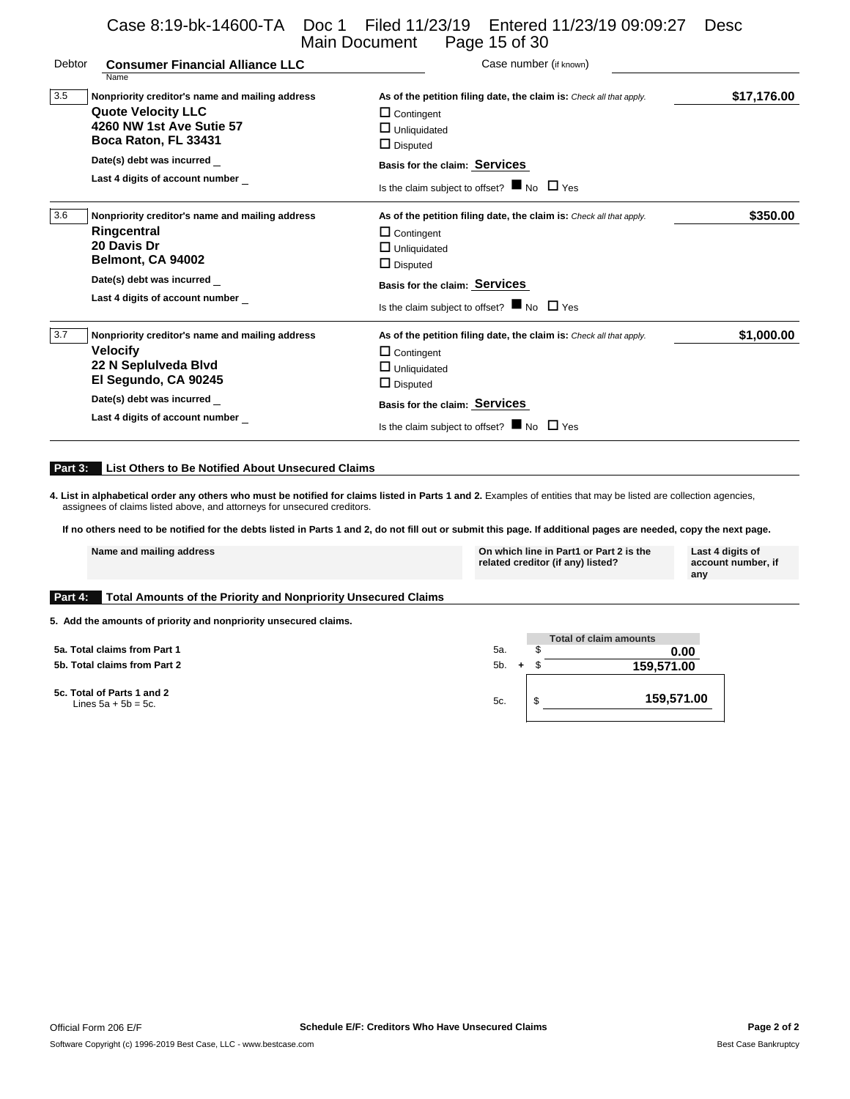Case 8:19-bk-14600-TA Doc 1 Filed 11/23/19 Entered 11/23/19 09:09:27 Desc Main Document Page 15 of 30

| Debtor | <b>Consumer Financial Alliance LLC</b><br>Name                                                                                                                     | Case number (if known)                                                                                                                                                                                                              |             |
|--------|--------------------------------------------------------------------------------------------------------------------------------------------------------------------|-------------------------------------------------------------------------------------------------------------------------------------------------------------------------------------------------------------------------------------|-------------|
| 3.5    | Nonpriority creditor's name and mailing address<br><b>Quote Velocity LLC</b><br>4260 NW 1st Ave Sutie 57<br>Boca Raton, FL 33431<br>Date(s) debt was incurred      | As of the petition filing date, the claim is: Check all that apply.<br>$\Box$ Contingent<br>$\Box$ Unliquidated<br>$\Box$ Disputed                                                                                                  | \$17,176.00 |
|        | Last 4 digits of account number                                                                                                                                    | Basis for the claim: Services<br>Is the claim subject to offset? $\blacksquare$ No $\Box$ Yes                                                                                                                                       |             |
| 3.6    | Nonpriority creditor's name and mailing address<br>Ringcentral<br>20 Davis Dr<br>Belmont, CA 94002<br>Date(s) debt was incurred<br>Last 4 digits of account number | As of the petition filing date, the claim is: Check all that apply.<br>$\Box$ Contingent<br>$\Box$ Unliquidated<br>$\Box$ Disputed<br>Basis for the claim: Services<br>Is the claim subject to offset? $\blacksquare$ No $\Box$ Yes | \$350.00    |
| 3.7    | Nonpriority creditor's name and mailing address<br><b>Velocify</b><br>22 N Seplulveda Blvd<br>El Segundo, CA 90245                                                 | As of the petition filing date, the claim is: Check all that apply.<br>$\Box$ Contingent<br>$\Box$ Unliquidated<br>$\Box$ Disputed                                                                                                  | \$1,000.00  |
|        | Date(s) debt was incurred<br>Last 4 digits of account number                                                                                                       | Basis for the claim: Services<br>Is the claim subject to offset? $\blacksquare$ No $\Box$ Yes                                                                                                                                       |             |

#### **Part 3: List Others to Be Notified About Unsecured Claims**

4. List in alphabetical order any others who must be notified for claims listed in Parts 1 and 2. Examples of entities that may be listed are collection agencies, assignees of claims listed above, and attorneys for unsecur

**If no others need to be notified for the debts listed in Parts 1 and 2, do not fill out or submit this page. If additional pages are needed, copy the next page.**

|         | Name and mailing address                                       | On which line in Part1 or Part 2 is the<br>related creditor (if any) listed? | Last 4 digits of<br>account number, if<br>any |
|---------|----------------------------------------------------------------|------------------------------------------------------------------------------|-----------------------------------------------|
| Part 4: | Total Amounts of the Priority and Nonpriority Unsecured Claims |                                                                              |                                               |

**5. Add the amounts of priority and nonpriority unsecured claims.**

**5a. Total claims from Part 1 5b. Total claims from Part 2** 

**5c. Total of Parts 1 and 2**

|                                                         |                  | Total of claim amounts |
|---------------------------------------------------------|------------------|------------------------|
| <b>Fotal claims from Part 1</b>                         | 5а.              | 0.00                   |
| <b>Total claims from Part 2</b>                         | 5b.<br>$\ddot{}$ | 159,571.00             |
| <b>Fotal of Parts 1 and 2</b><br>Lines $5a + 5b = 5c$ . | 5c.              | 159,571.00             |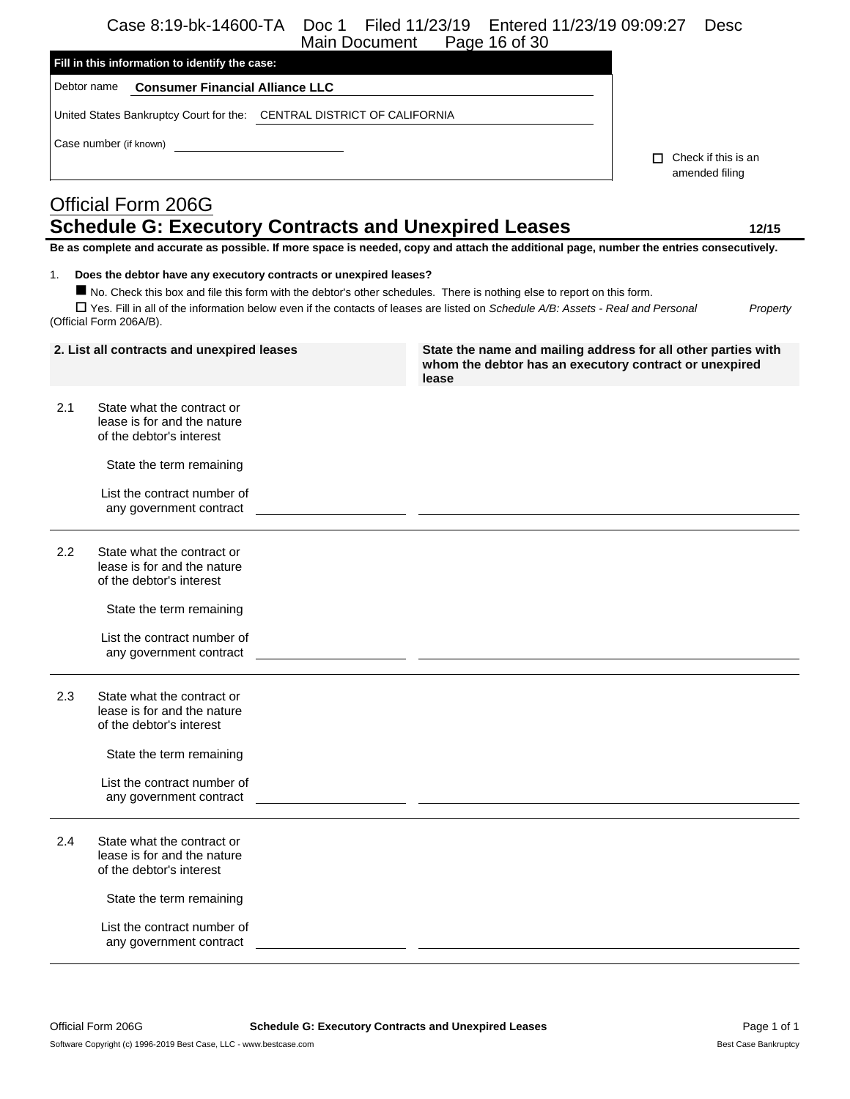Case 8:19-bk-14600-TA Doc 1 Filed 11/23/19 Entered 11/23/19 09:09:27 Desc

| Page 16 of 30<br>Main Document                                                                                                                                    |                                       |
|-------------------------------------------------------------------------------------------------------------------------------------------------------------------|---------------------------------------|
| Fill in this information to identify the case:                                                                                                                    |                                       |
| Debtor name<br><b>Consumer Financial Alliance LLC</b>                                                                                                             |                                       |
| United States Bankruptcy Court for the: CENTRAL DISTRICT OF CALIFORNIA                                                                                            |                                       |
| Case number (if known)                                                                                                                                            |                                       |
|                                                                                                                                                                   | Check if this is an<br>amended filing |
| Official Form 206G                                                                                                                                                |                                       |
| <b>Schedule G: Executory Contracts and Unexpired Leases</b>                                                                                                       | 12/15                                 |
| Be as complete and accurate as possible. If more space is needed, copy and attach the additional page, number the entries consecutively.                          |                                       |
| Does the debtor have any executory contracts or unexpired leases?<br>1.                                                                                           |                                       |
| No. Check this box and file this form with the debtor's other schedules. There is nothing else to report on this form.                                            |                                       |
| $\Box$ Yes. Fill in all of the information below even if the contacts of leases are listed on Schedule A/B: Assets - Real and Personal<br>(Official Form 206A/B). | Property                              |

| 2. List all contracts and unexpired leases |                                                                                       | State the name and mailing address for all other parties with<br>whom the debtor has an executory contract or unexpired<br>lease |
|--------------------------------------------|---------------------------------------------------------------------------------------|----------------------------------------------------------------------------------------------------------------------------------|
| 2.1                                        | State what the contract or<br>lease is for and the nature<br>of the debtor's interest |                                                                                                                                  |
|                                            | State the term remaining                                                              |                                                                                                                                  |
|                                            | List the contract number of<br>any government contract                                |                                                                                                                                  |
| 2.2                                        | State what the contract or<br>lease is for and the nature<br>of the debtor's interest |                                                                                                                                  |
|                                            | State the term remaining                                                              |                                                                                                                                  |
|                                            | List the contract number of<br>any government contract                                | <u> 1989 - Johann John Stein, mars et al. (b. 1989).</u>                                                                         |
| 2.3                                        | State what the contract or<br>lease is for and the nature<br>of the debtor's interest |                                                                                                                                  |
|                                            | State the term remaining                                                              |                                                                                                                                  |
|                                            | List the contract number of<br>any government contract                                |                                                                                                                                  |
| 2.4                                        | State what the contract or<br>lease is for and the nature<br>of the debtor's interest |                                                                                                                                  |
|                                            | State the term remaining                                                              |                                                                                                                                  |
|                                            | List the contract number of<br>any government contract                                |                                                                                                                                  |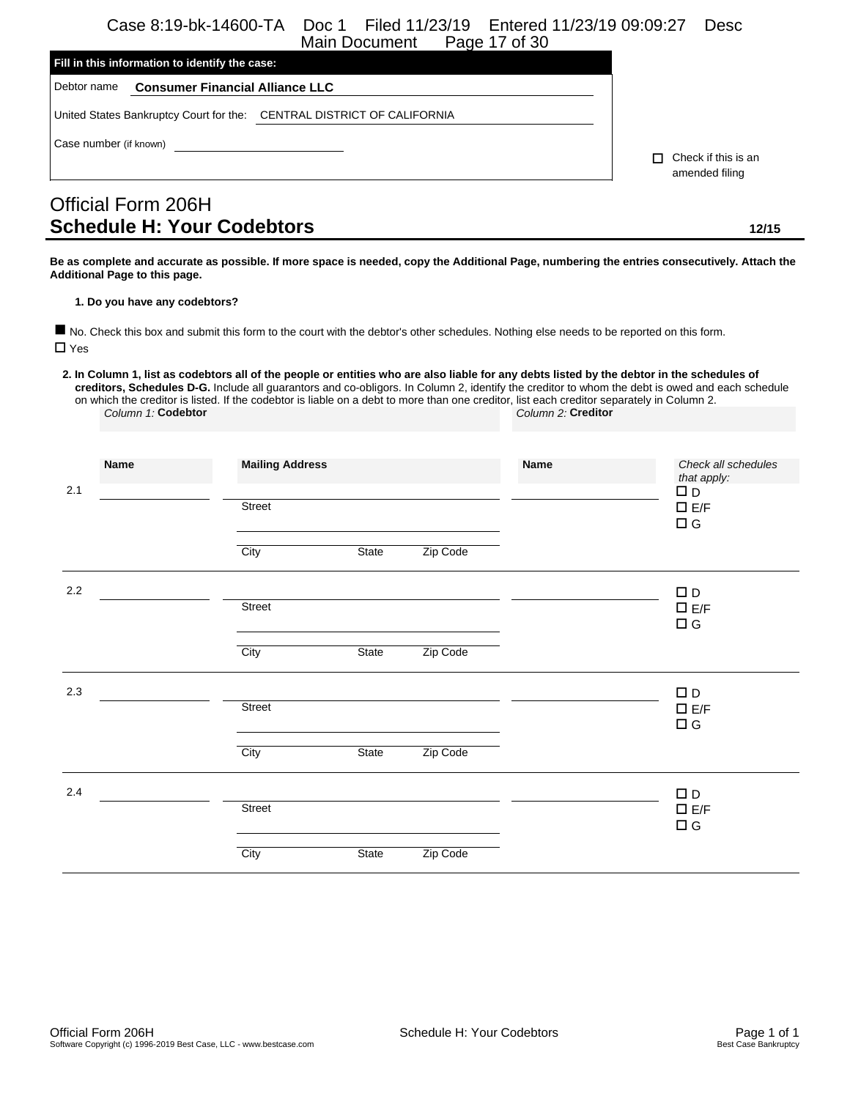Case 8:19-bk-14600-TA Doc 1 Filed 11/23/19 Entered 11/23/19 09:09:27 Desc Main Document

|                        |                                                | <u>MAILLOUGHIUIL</u><br>$1$ aud $11$ or $00$                           |                           |  |  |  |  |
|------------------------|------------------------------------------------|------------------------------------------------------------------------|---------------------------|--|--|--|--|
|                        | Fill in this information to identify the case: |                                                                        |                           |  |  |  |  |
| Debtor name            | <b>Consumer Financial Alliance LLC</b>         |                                                                        |                           |  |  |  |  |
|                        |                                                | United States Bankruptcy Court for the: CENTRAL DISTRICT OF CALIFORNIA |                           |  |  |  |  |
| Case number (if known) |                                                |                                                                        | Check if this is an<br>п. |  |  |  |  |
|                        |                                                |                                                                        | amended filing            |  |  |  |  |
|                        | Official Form 206H                             |                                                                        |                           |  |  |  |  |

# Official Form 206H **Schedule H: Your Codebtors 12/15**

**Be as complete and accurate as possible. If more space is needed, copy the Additional Page, numbering the entries consecutively. Attach the Additional Page to this page.**

#### **1. Do you have any codebtors?**

 No. Check this box and submit this form to the court with the debtor's other schedules. Nothing else needs to be reported on this form.  $\Box$  Yes

**2. In Column 1, list as codebtors all of the people or entities who are also liable for any debts listed by the debtor in the schedules of creditors, Schedules D-G.** Include all guarantors and co-obligors. In Column 2, identify the creditor to whom the debt is owed and each schedule on which the creditor is listed. If the codebtor is liable on a debt to more than one creditor, list each creditor separately in Column 2. *Column 1:* **Codebtor** *Column 2:* **Creditor**

| 2.1 | <b>Name</b> | <b>Mailing Address</b><br>Street<br>City | State        | Zip Code | Name | Check all schedules<br>that apply:<br>$\square$ D<br>$\square$ E/F<br>$\Box$ G |
|-----|-------------|------------------------------------------|--------------|----------|------|--------------------------------------------------------------------------------|
| 2.2 |             | Street<br>City                           | <b>State</b> | Zip Code |      | $\Box$ D<br>$\square$ E/F<br>$\Box$ G                                          |
| 2.3 |             | Street<br>City                           | State        | Zip Code |      | $\square$ D<br>$\square$ E/F<br>$\Box$ G                                       |
| 2.4 |             | Street<br>City                           | <b>State</b> | Zip Code |      | $\Box$ D<br>$\square$ E/F<br>$\square$<br><br>G                                |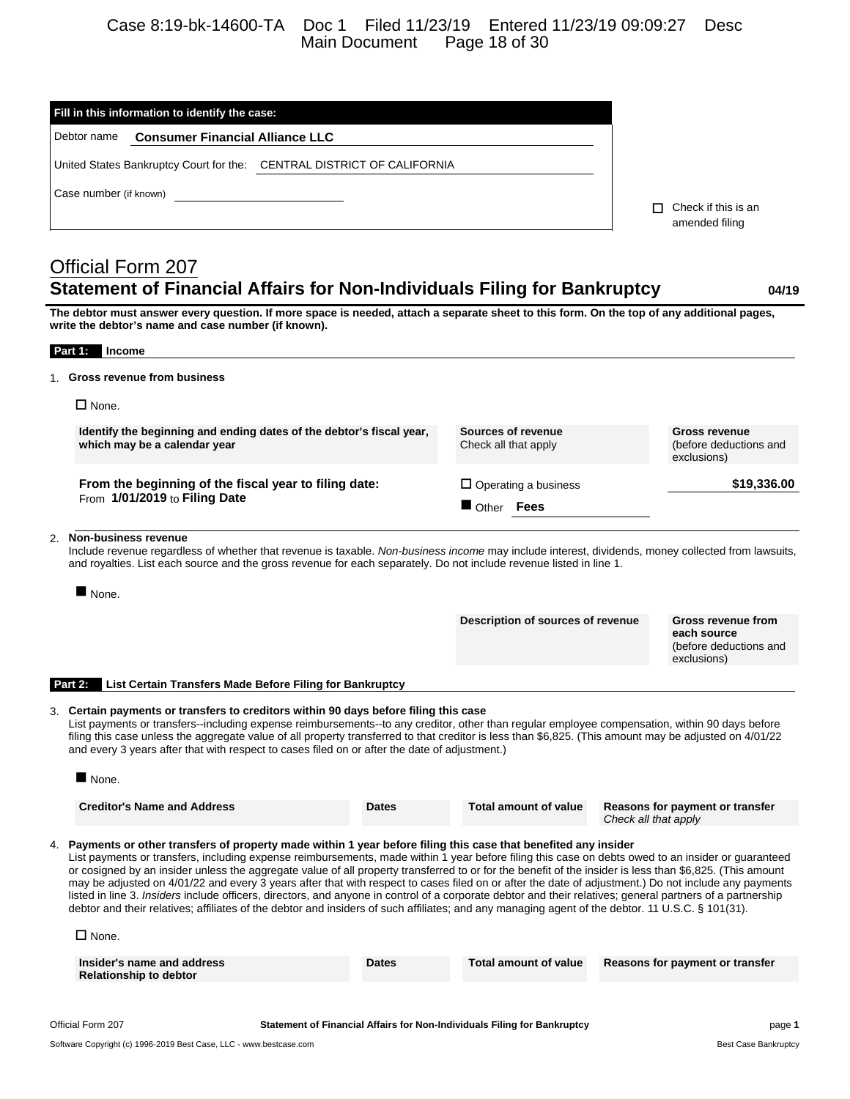# Case 8:19-bk-14600-TA Doc 1 Filed 11/23/19 Entered 11/23/19 09:09:27 Desc Main Document Page 18 of 30

| Fill in this information to identify the case:                                                                                                                                                                                                                                                                                                                                                                                                                                                                                                                                                                                                                                                                                                                                                                                                                                                               |                    |                                   |                      |                                                      |
|--------------------------------------------------------------------------------------------------------------------------------------------------------------------------------------------------------------------------------------------------------------------------------------------------------------------------------------------------------------------------------------------------------------------------------------------------------------------------------------------------------------------------------------------------------------------------------------------------------------------------------------------------------------------------------------------------------------------------------------------------------------------------------------------------------------------------------------------------------------------------------------------------------------|--------------------|-----------------------------------|----------------------|------------------------------------------------------|
| Debtor name<br><b>Consumer Financial Alliance LLC</b>                                                                                                                                                                                                                                                                                                                                                                                                                                                                                                                                                                                                                                                                                                                                                                                                                                                        |                    |                                   |                      |                                                      |
| United States Bankruptcy Court for the: CENTRAL DISTRICT OF CALIFORNIA                                                                                                                                                                                                                                                                                                                                                                                                                                                                                                                                                                                                                                                                                                                                                                                                                                       |                    |                                   |                      |                                                      |
| Case number (if known)                                                                                                                                                                                                                                                                                                                                                                                                                                                                                                                                                                                                                                                                                                                                                                                                                                                                                       |                    |                                   |                      |                                                      |
|                                                                                                                                                                                                                                                                                                                                                                                                                                                                                                                                                                                                                                                                                                                                                                                                                                                                                                              |                    |                                   |                      | $\Box$ Check if this is an                           |
|                                                                                                                                                                                                                                                                                                                                                                                                                                                                                                                                                                                                                                                                                                                                                                                                                                                                                                              |                    |                                   |                      | amended filing                                       |
| <b>Official Form 207</b>                                                                                                                                                                                                                                                                                                                                                                                                                                                                                                                                                                                                                                                                                                                                                                                                                                                                                     |                    |                                   |                      |                                                      |
| <b>Statement of Financial Affairs for Non-Individuals Filing for Bankruptcy</b>                                                                                                                                                                                                                                                                                                                                                                                                                                                                                                                                                                                                                                                                                                                                                                                                                              |                    |                                   |                      | 04/19                                                |
| The debtor must answer every question. If more space is needed, attach a separate sheet to this form. On the top of any additional pages,<br>write the debtor's name and case number (if known).                                                                                                                                                                                                                                                                                                                                                                                                                                                                                                                                                                                                                                                                                                             |                    |                                   |                      |                                                      |
| Part 1:<br>Income                                                                                                                                                                                                                                                                                                                                                                                                                                                                                                                                                                                                                                                                                                                                                                                                                                                                                            |                    |                                   |                      |                                                      |
| <b>Gross revenue from business</b>                                                                                                                                                                                                                                                                                                                                                                                                                                                                                                                                                                                                                                                                                                                                                                                                                                                                           |                    |                                   |                      |                                                      |
| $\square$ None.                                                                                                                                                                                                                                                                                                                                                                                                                                                                                                                                                                                                                                                                                                                                                                                                                                                                                              |                    |                                   |                      |                                                      |
| Identify the beginning and ending dates of the debtor's fiscal year,                                                                                                                                                                                                                                                                                                                                                                                                                                                                                                                                                                                                                                                                                                                                                                                                                                         | Sources of revenue |                                   | <b>Gross revenue</b> |                                                      |
| which may be a calendar year                                                                                                                                                                                                                                                                                                                                                                                                                                                                                                                                                                                                                                                                                                                                                                                                                                                                                 |                    | Check all that apply              |                      | (before deductions and<br>exclusions)                |
| From the beginning of the fiscal year to filing date:                                                                                                                                                                                                                                                                                                                                                                                                                                                                                                                                                                                                                                                                                                                                                                                                                                                        |                    | $\Box$ Operating a business       |                      | \$19,336.00                                          |
| From 1/01/2019 to Filing Date                                                                                                                                                                                                                                                                                                                                                                                                                                                                                                                                                                                                                                                                                                                                                                                                                                                                                | Other Fees         |                                   |                      |                                                      |
| 2. Non-business revenue<br>Include revenue regardless of whether that revenue is taxable. Non-business income may include interest, dividends, money collected from lawsuits,<br>and royalties. List each source and the gross revenue for each separately. Do not include revenue listed in line 1.<br>None.                                                                                                                                                                                                                                                                                                                                                                                                                                                                                                                                                                                                |                    |                                   |                      |                                                      |
|                                                                                                                                                                                                                                                                                                                                                                                                                                                                                                                                                                                                                                                                                                                                                                                                                                                                                                              |                    | Description of sources of revenue |                      | Gross revenue from                                   |
|                                                                                                                                                                                                                                                                                                                                                                                                                                                                                                                                                                                                                                                                                                                                                                                                                                                                                                              |                    |                                   |                      | each source<br>(before deductions and<br>exclusions) |
| <b>List Certain Transfers Made Before Filing for Bankruptcy</b><br>Part 2:                                                                                                                                                                                                                                                                                                                                                                                                                                                                                                                                                                                                                                                                                                                                                                                                                                   |                    |                                   |                      |                                                      |
| 3. Certain payments or transfers to creditors within 90 days before filing this case<br>List payments or transfers--including expense reimbursements--to any creditor, other than regular employee compensation, within 90 days before<br>filing this case unless the aggregate value of all property transferred to that creditor is less than \$6,825. (This amount may be adjusted on 4/01/22<br>and every 3 years after that with respect to cases filed on or after the date of adjustment.)                                                                                                                                                                                                                                                                                                                                                                                                            |                    |                                   |                      |                                                      |
| $\blacksquare$ None.                                                                                                                                                                                                                                                                                                                                                                                                                                                                                                                                                                                                                                                                                                                                                                                                                                                                                         |                    |                                   |                      |                                                      |
| <b>Creditor's Name and Address</b>                                                                                                                                                                                                                                                                                                                                                                                                                                                                                                                                                                                                                                                                                                                                                                                                                                                                           | <b>Dates</b>       | <b>Total amount of value</b>      | Check all that apply | Reasons for payment or transfer                      |
| 4. Payments or other transfers of property made within 1 year before filing this case that benefited any insider<br>List payments or transfers, including expense reimbursements, made within 1 year before filing this case on debts owed to an insider or guaranteed<br>or cosigned by an insider unless the aggregate value of all property transferred to or for the benefit of the insider is less than \$6,825. (This amount<br>may be adjusted on 4/01/22 and every 3 years after that with respect to cases filed on or after the date of adjustment.) Do not include any payments<br>listed in line 3. Insiders include officers, directors, and anyone in control of a corporate debtor and their relatives; general partners of a partnership<br>debtor and their relatives; affiliates of the debtor and insiders of such affiliates; and any managing agent of the debtor. 11 U.S.C. § 101(31). |                    |                                   |                      |                                                      |
| $\Box$ None.                                                                                                                                                                                                                                                                                                                                                                                                                                                                                                                                                                                                                                                                                                                                                                                                                                                                                                 |                    |                                   |                      |                                                      |
| Insider's name and address<br><b>Relationship to debtor</b>                                                                                                                                                                                                                                                                                                                                                                                                                                                                                                                                                                                                                                                                                                                                                                                                                                                  | Dates              | <b>Total amount of value</b>      |                      | Reasons for payment or transfer                      |
|                                                                                                                                                                                                                                                                                                                                                                                                                                                                                                                                                                                                                                                                                                                                                                                                                                                                                                              |                    |                                   |                      |                                                      |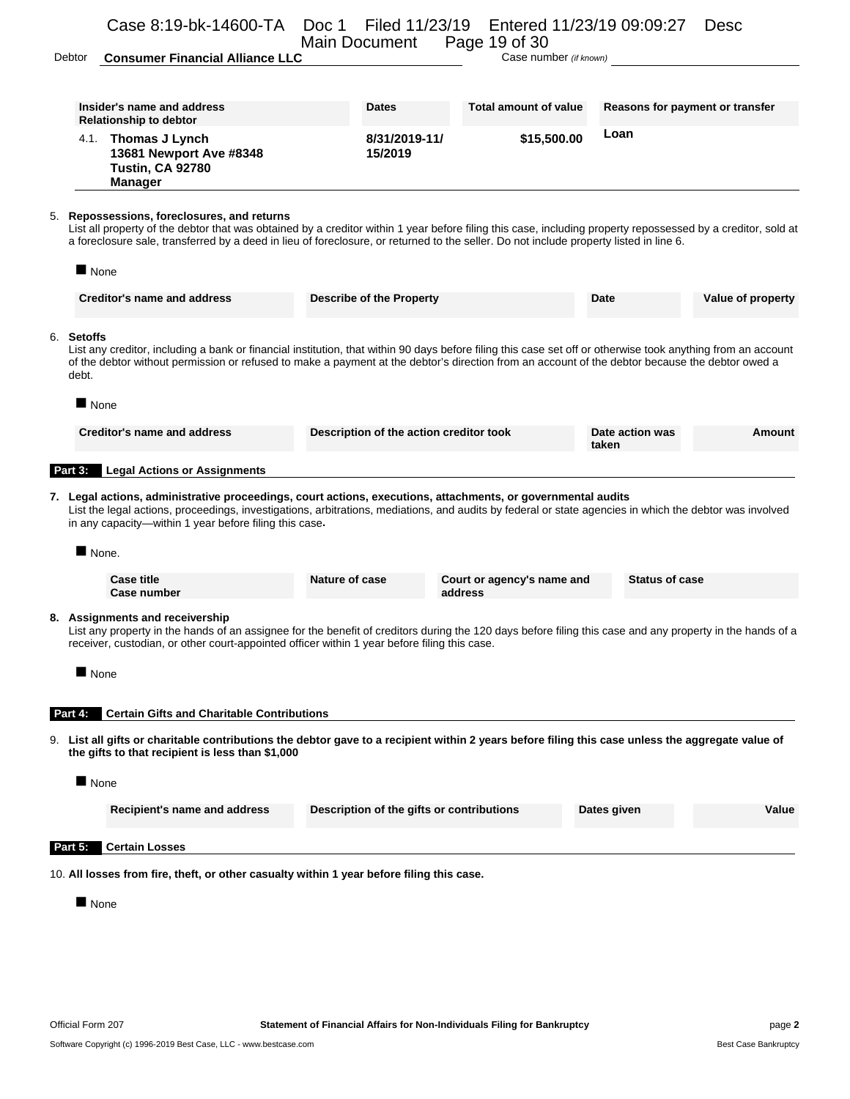### Case 8:19-bk-14600-TA Doc 1 Filed 11/23/19 Entered 11/23/19 09:09:27 Desc Main Document

Debtor **Consumer Financial Alliance LLC** Case number *(if known)* 

|      | Insider's name and address<br><b>Relationship to debtor</b>                            | <b>Dates</b>             | Total amount of value | Reasons for payment or transfer |
|------|----------------------------------------------------------------------------------------|--------------------------|-----------------------|---------------------------------|
| 4.1. | Thomas J Lynch<br>13681 Newport Ave #8348<br><b>Tustin, CA 92780</b><br><b>Manager</b> | 8/31/2019-11/<br>15/2019 | \$15,500.00           | Loan                            |

List all property of the debtor that was obtained by a creditor within 1 year before filing this case, including property repossessed by a creditor, sold at a foreclosure sale, transferred by a deed in lieu of foreclosure, or returned to the seller. Do not include property listed in line 6.

| $\blacksquare$ None                                                                                                                                                                                                                                                                                                                    |                                         |                                       |                          |                   |
|----------------------------------------------------------------------------------------------------------------------------------------------------------------------------------------------------------------------------------------------------------------------------------------------------------------------------------------|-----------------------------------------|---------------------------------------|--------------------------|-------------------|
| <b>Creditor's name and address</b>                                                                                                                                                                                                                                                                                                     | <b>Describe of the Property</b>         |                                       | Date                     | Value of property |
| 6. Setoffs<br>List any creditor, including a bank or financial institution, that within 90 days before filing this case set off or otherwise took anything from an account<br>of the debtor without permission or refused to make a payment at the debtor's direction from an account of the debtor because the debtor owed a<br>debt. |                                         |                                       |                          |                   |
| $\blacksquare$ None                                                                                                                                                                                                                                                                                                                    |                                         |                                       |                          |                   |
| <b>Creditor's name and address</b>                                                                                                                                                                                                                                                                                                     | Description of the action creditor took |                                       | Date action was<br>taken | Amount            |
| Part 3:<br><b>Legal Actions or Assignments</b>                                                                                                                                                                                                                                                                                         |                                         |                                       |                          |                   |
| 7. Legal actions, administrative proceedings, court actions, executions, attachments, or governmental audits<br>List the legal actions, proceedings, investigations, arbitrations, mediations, and audits by federal or state agencies in which the debtor was involved<br>in any capacity—within 1 year before filing this case.      |                                         |                                       |                          |                   |
| $\blacksquare$ None.                                                                                                                                                                                                                                                                                                                   |                                         |                                       |                          |                   |
| <b>Case title</b><br><b>Case number</b>                                                                                                                                                                                                                                                                                                | Nature of case                          | Court or agency's name and<br>address | <b>Status of case</b>    |                   |
| 8. Assignments and receivership<br>List any property in the hands of an assignee for the benefit of creditors during the 120 days before filing this case and any property in the hands of a<br>receiver, custodian, or other court-appointed officer within 1 year before filing this case.                                           |                                         |                                       |                          |                   |
| None                                                                                                                                                                                                                                                                                                                                   |                                         |                                       |                          |                   |
| <b>Certain Gifts and Charitable Contributions</b><br>Part 4:                                                                                                                                                                                                                                                                           |                                         |                                       |                          |                   |
| 9. List all gifts or charitable contributions the debtor gave to a recipient within 2 years before filing this case unless the aggregate value of<br>the gifts to that recipient is less than \$1,000                                                                                                                                  |                                         |                                       |                          |                   |
| $\blacksquare$ None                                                                                                                                                                                                                                                                                                                    |                                         |                                       |                          |                   |

| Recipient's name and address  | Description of the gifts or contributions | Dates given | Value |
|-------------------------------|-------------------------------------------|-------------|-------|
| <b>Part 5: Certain Losses</b> |                                           |             |       |

10. **All losses from fire, theft, or other casualty within 1 year before filing this case.**

**None**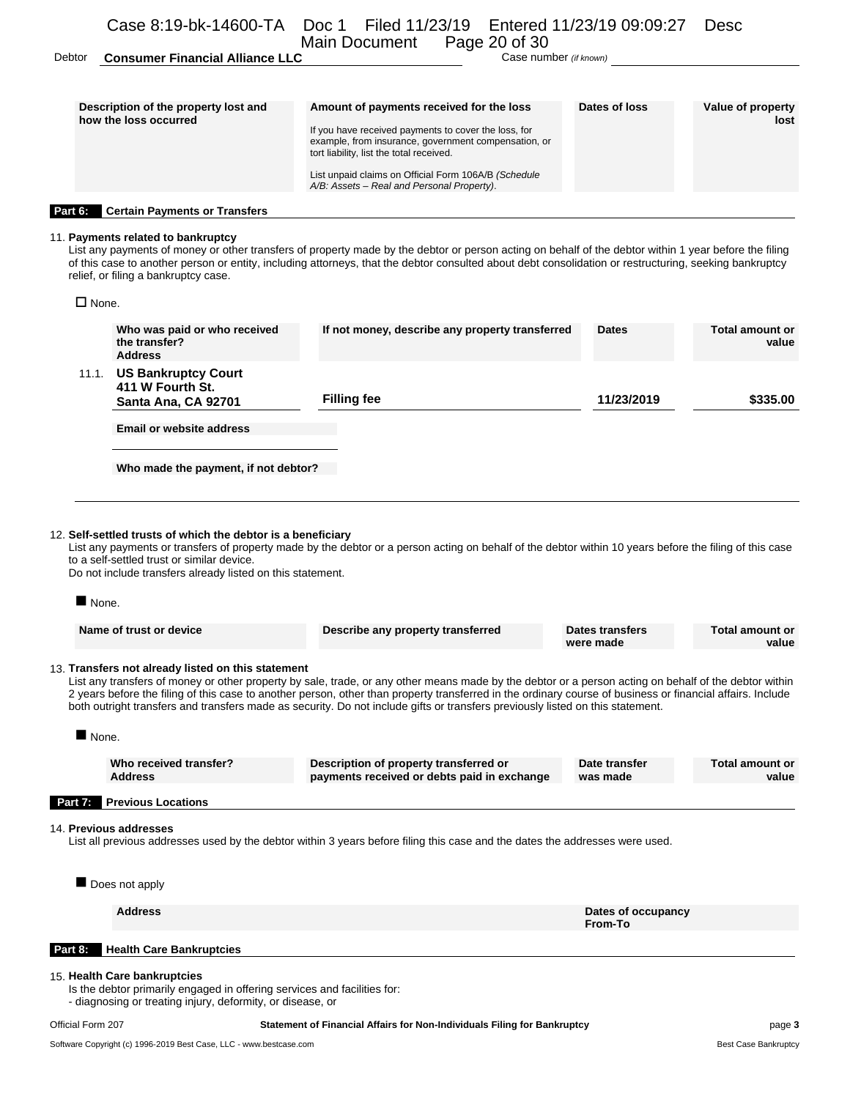Debtor **Consumer Financial Alliance LLC** Case number *(if known)* 

| Description of the property lost and<br>how the loss occurred | Amount of payments received for the loss<br>If you have received payments to cover the loss, for<br>example, from insurance, government compensation, or<br>tort liability, list the total received.<br>List unpaid claims on Official Form 106A/B (Schedule<br>A/B: Assets - Real and Personal Property). | Dates of loss | Value of property<br>lost |
|---------------------------------------------------------------|------------------------------------------------------------------------------------------------------------------------------------------------------------------------------------------------------------------------------------------------------------------------------------------------------------|---------------|---------------------------|
| Part 6:<br><b>Certain Payments or Transfers</b>               |                                                                                                                                                                                                                                                                                                            |               |                           |

11. **Payments related to bankruptcy** List any payments of money or other transfers of property made by the debtor or person acting on behalf of the debtor within 1 year before the filing of this case to another person or entity, including attorneys, that the debtor consulted about debt consolidation or restructuring, seeking bankruptcy relief, or filing a bankruptcy case.

 $\square$  None.

|                      | Who was paid or who received<br>the transfer?<br><b>Address</b>                                                                                                          | If not money, describe any property transferred                                                                                                                                                                                                                                                                                                                                                                                                       | <b>Dates</b>                  | <b>Total amount or</b><br>value |
|----------------------|--------------------------------------------------------------------------------------------------------------------------------------------------------------------------|-------------------------------------------------------------------------------------------------------------------------------------------------------------------------------------------------------------------------------------------------------------------------------------------------------------------------------------------------------------------------------------------------------------------------------------------------------|-------------------------------|---------------------------------|
|                      | 11.1. US Bankruptcy Court<br>411 W Fourth St.<br>Santa Ana, CA 92701                                                                                                     | <b>Filling fee</b>                                                                                                                                                                                                                                                                                                                                                                                                                                    | 11/23/2019                    | \$335.00                        |
|                      | <b>Email or website address</b>                                                                                                                                          |                                                                                                                                                                                                                                                                                                                                                                                                                                                       |                               |                                 |
|                      | Who made the payment, if not debtor?                                                                                                                                     |                                                                                                                                                                                                                                                                                                                                                                                                                                                       |                               |                                 |
| None.                | 12. Self-settled trusts of which the debtor is a beneficiary<br>to a self-settled trust or similar device.<br>Do not include transfers already listed on this statement. | List any payments or transfers of property made by the debtor or a person acting on behalf of the debtor within 10 years before the filing of this case                                                                                                                                                                                                                                                                                               |                               |                                 |
|                      | Name of trust or device                                                                                                                                                  | Describe any property transferred                                                                                                                                                                                                                                                                                                                                                                                                                     | Dates transfers<br>were made  | <b>Total amount or</b><br>value |
|                      | 13. Transfers not already listed on this statement                                                                                                                       | List any transfers of money or other property by sale, trade, or any other means made by the debtor or a person acting on behalf of the debtor within<br>2 years before the filing of this case to another person, other than property transferred in the ordinary course of business or financial affairs. Include<br>both outright transfers and transfers made as security. Do not include gifts or transfers previously listed on this statement. |                               |                                 |
| $\blacksquare$ None. |                                                                                                                                                                          |                                                                                                                                                                                                                                                                                                                                                                                                                                                       |                               |                                 |
|                      | Who received transfer?<br><b>Address</b>                                                                                                                                 | Description of property transferred or<br>payments received or debts paid in exchange                                                                                                                                                                                                                                                                                                                                                                 | Date transfer<br>was made     | <b>Total amount or</b><br>value |
| Part 7:              | <b>Previous Locations</b>                                                                                                                                                |                                                                                                                                                                                                                                                                                                                                                                                                                                                       |                               |                                 |
|                      | 14. Previous addresses                                                                                                                                                   | List all previous addresses used by the debtor within 3 years before filing this case and the dates the addresses were used.                                                                                                                                                                                                                                                                                                                          |                               |                                 |
|                      | Does not apply                                                                                                                                                           |                                                                                                                                                                                                                                                                                                                                                                                                                                                       |                               |                                 |
|                      | <b>Address</b>                                                                                                                                                           |                                                                                                                                                                                                                                                                                                                                                                                                                                                       | Dates of occupancy<br>From-To |                                 |
| Part 8:              | <b>Health Care Bankruptcies</b>                                                                                                                                          |                                                                                                                                                                                                                                                                                                                                                                                                                                                       |                               |                                 |
|                      | 15. Health Care bankruptcies<br>Is the debtor primarily engaged in offering services and facilities for:<br>- diagnosing or treating injury, deformity, or disease, or   |                                                                                                                                                                                                                                                                                                                                                                                                                                                       |                               |                                 |

 $14.$ 

15. **Health Care bankruptcies**

#### Official Form 207 **Statement of Financial Affairs for Non-Individuals Filing for Bankruptcy** page **3**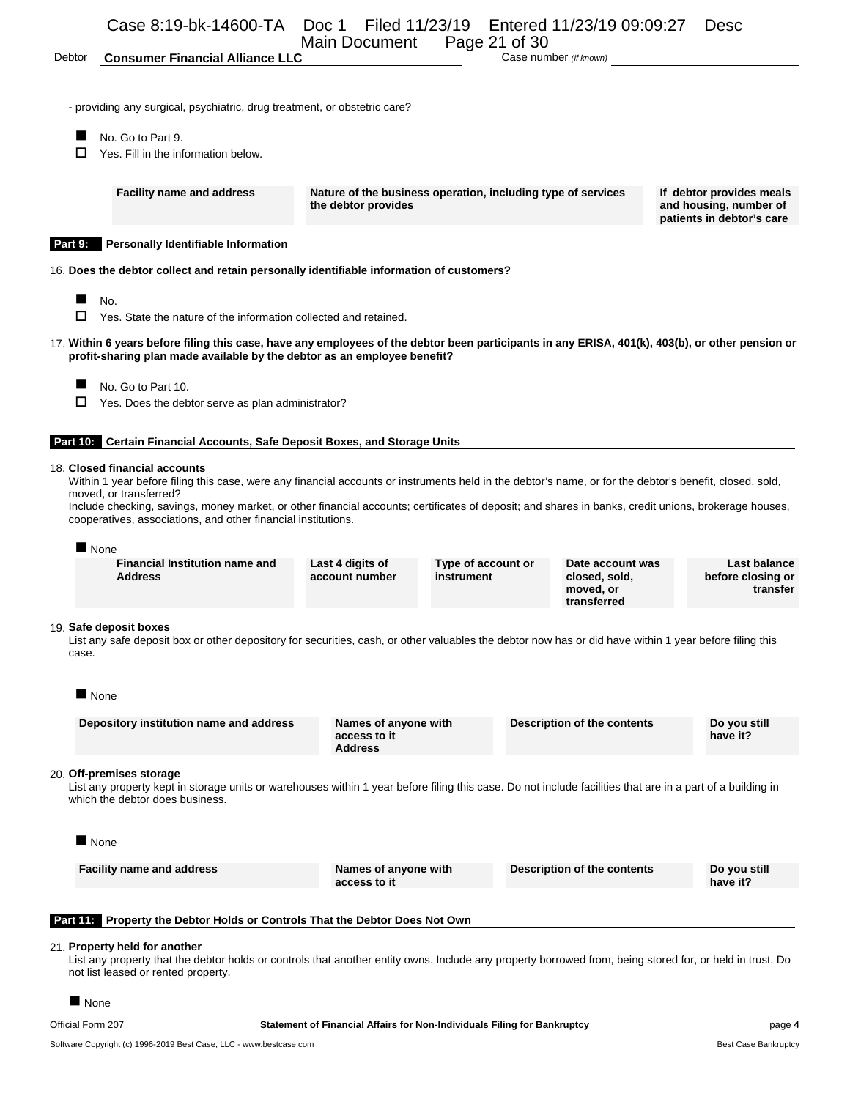#### Debtor **Consumer Financial Alliance LLC** Case number *(if known)*

- providing any surgical, psychiatric, drug treatment, or obstetric care?

- No. Go to Part 9.
- $\Box$  Yes. Fill in the information below.

**Facility name and address Nature of the business operation, including type of services the debtor provides**

**If debtor provides meals and housing, number of patients in debtor's care**

#### **Part 9: Personally Identifiable Information**

16. **Does the debtor collect and retain personally identifiable information of customers?**

- $N_{\rm O}$ .
- $\Box$  Yes. State the nature of the information collected and retained.
- 17. **Within 6 years before filing this case, have any employees of the debtor been participants in any ERISA, 401(k), 403(b), or other pension or profit-sharing plan made available by the debtor as an employee benefit?**
	- No. Go to Part 10.
	- $\Box$  Yes. Does the debtor serve as plan administrator?

#### **Part 10: Certain Financial Accounts, Safe Deposit Boxes, and Storage Units**

#### 18. **Closed financial accounts**

Within 1 year before filing this case, were any financial accounts or instruments held in the debtor's name, or for the debtor's benefit, closed, sold, moved, or transferred?

Include checking, savings, money market, or other financial accounts; certificates of deposit; and shares in banks, credit unions, brokerage houses, cooperatives, associations, and other financial institutions.

#### **None**

**Financial Institution name and Address**

**Last 4 digits of account number**

**Type of account or instrument**

**Date account was closed, sold, moved, or transferred**

**Last balance before closing or transfer**

#### 19. **Safe deposit boxes**

List any safe deposit box or other depository for securities, cash, or other valuables the debtor now has or did have within 1 year before filing this case.

 $\blacksquare$  None

| Depository institution name and address | Names of anyone with<br>access to it | Description of the contents | Do vou still<br>have it? |
|-----------------------------------------|--------------------------------------|-----------------------------|--------------------------|
|                                         | <b>Address</b>                       |                             |                          |

#### 20. **Off-premises storage**

List any property kept in storage units or warehouses within 1 year before filing this case. Do not include facilities that are in a part of a building in which the debtor does business.

| ■ None                           |                                      |                             |                          |
|----------------------------------|--------------------------------------|-----------------------------|--------------------------|
| <b>Facility name and address</b> | Names of anyone with<br>access to it | Description of the contents | Do you still<br>have it? |
|                                  |                                      |                             |                          |

#### **Part 11: Property the Debtor Holds or Controls That the Debtor Does Not Own**

#### 21. **Property held for another**

List any property that the debtor holds or controls that another entity owns. Include any property borrowed from, being stored for, or held in trust. Do not list leased or rented property.

None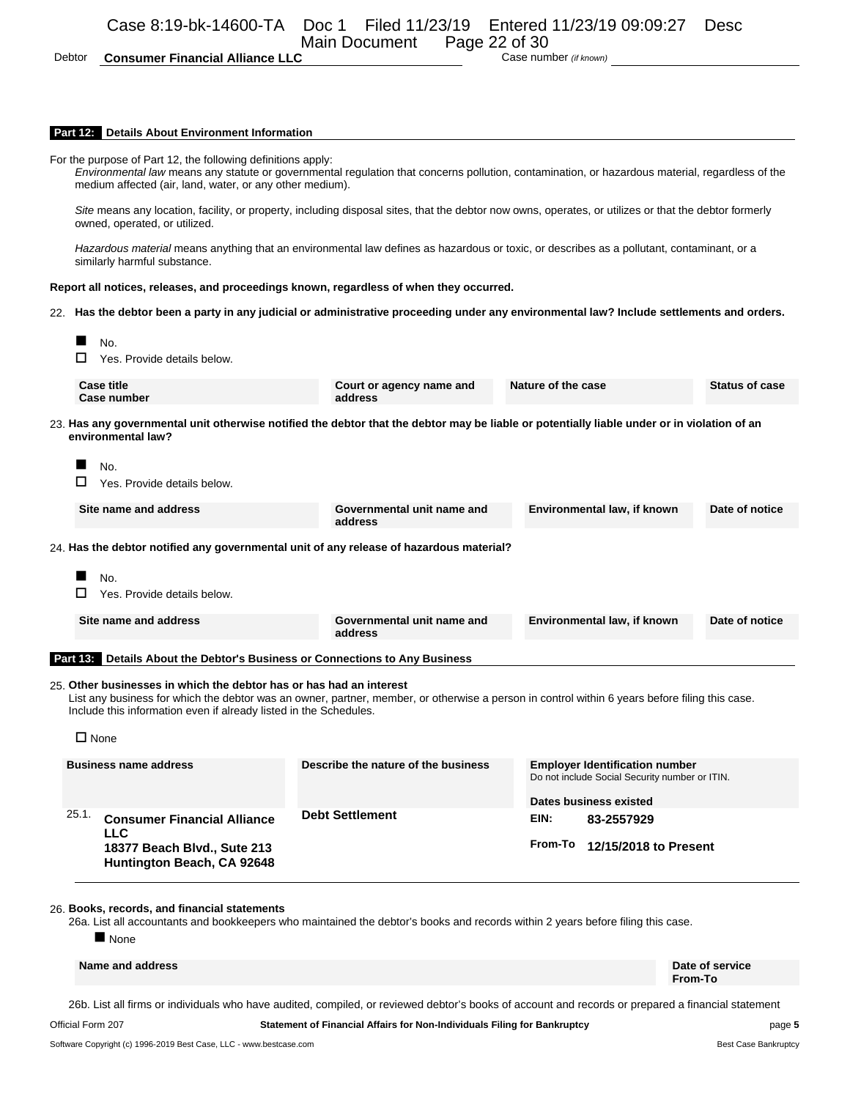Debtor **Consumer Financial Alliance LLC** Case number *(if known)* 

#### **Part 12: Details About Environment Information**

|                 | <b>Details About Elivironment information</b>                                                                                                                                          |                                                                                                                                 |                                                                                                                                                 |  |  |  |  |
|-----------------|----------------------------------------------------------------------------------------------------------------------------------------------------------------------------------------|---------------------------------------------------------------------------------------------------------------------------------|-------------------------------------------------------------------------------------------------------------------------------------------------|--|--|--|--|
|                 | For the purpose of Part 12, the following definitions apply:<br>medium affected (air, land, water, or any other medium).                                                               |                                                                                                                                 | Environmental law means any statute or governmental regulation that concerns pollution, contamination, or hazardous material, regardless of the |  |  |  |  |
|                 | Site means any location, facility, or property, including disposal sites, that the debtor now owns, operates, or utilizes or that the debtor formerly<br>owned, operated, or utilized. |                                                                                                                                 |                                                                                                                                                 |  |  |  |  |
|                 | similarly harmful substance.                                                                                                                                                           |                                                                                                                                 | Hazardous material means anything that an environmental law defines as hazardous or toxic, or describes as a pollutant, contaminant, or a       |  |  |  |  |
|                 |                                                                                                                                                                                        | Report all notices, releases, and proceedings known, regardless of when they occurred.                                          |                                                                                                                                                 |  |  |  |  |
|                 |                                                                                                                                                                                        |                                                                                                                                 | 22. Has the debtor been a party in any judicial or administrative proceeding under any environmental law? Include settlements and orders.       |  |  |  |  |
|                 | No.                                                                                                                                                                                    |                                                                                                                                 |                                                                                                                                                 |  |  |  |  |
|                 | Yes. Provide details below.                                                                                                                                                            |                                                                                                                                 |                                                                                                                                                 |  |  |  |  |
|                 | <b>Case title</b><br>Case number                                                                                                                                                       | Court or agency name and<br>address                                                                                             | Nature of the case<br><b>Status of case</b>                                                                                                     |  |  |  |  |
|                 | environmental law?                                                                                                                                                                     |                                                                                                                                 | 23. Has any governmental unit otherwise notified the debtor that the debtor may be liable or potentially liable under or in violation of an     |  |  |  |  |
|                 | No.                                                                                                                                                                                    |                                                                                                                                 |                                                                                                                                                 |  |  |  |  |
|                 | □<br>Yes. Provide details below.                                                                                                                                                       |                                                                                                                                 |                                                                                                                                                 |  |  |  |  |
|                 | Site name and address                                                                                                                                                                  | Governmental unit name and<br>address                                                                                           | Environmental law, if known<br>Date of notice                                                                                                   |  |  |  |  |
|                 |                                                                                                                                                                                        | 24. Has the debtor notified any governmental unit of any release of hazardous material?                                         |                                                                                                                                                 |  |  |  |  |
|                 |                                                                                                                                                                                        |                                                                                                                                 |                                                                                                                                                 |  |  |  |  |
|                 | No.                                                                                                                                                                                    |                                                                                                                                 |                                                                                                                                                 |  |  |  |  |
|                 | Yes. Provide details below.                                                                                                                                                            |                                                                                                                                 |                                                                                                                                                 |  |  |  |  |
|                 | Site name and address                                                                                                                                                                  | Governmental unit name and<br>address                                                                                           | Date of notice<br>Environmental law, if known                                                                                                   |  |  |  |  |
| <b>Part 13:</b> | Details About the Debtor's Business or Connections to Any Business                                                                                                                     |                                                                                                                                 |                                                                                                                                                 |  |  |  |  |
|                 | 25. Other businesses in which the debtor has or has had an interest<br>Include this information even if already listed in the Schedules.                                               |                                                                                                                                 | List any business for which the debtor was an owner, partner, member, or otherwise a person in control within 6 years before filing this case.  |  |  |  |  |
|                 | $\Box$ None                                                                                                                                                                            |                                                                                                                                 |                                                                                                                                                 |  |  |  |  |
|                 | <b>Business name address</b>                                                                                                                                                           | Describe the nature of the business                                                                                             | <b>Employer Identification number</b><br>Do not include Social Security number or ITIN.                                                         |  |  |  |  |
|                 |                                                                                                                                                                                        |                                                                                                                                 | Dates business existed                                                                                                                          |  |  |  |  |
|                 | 25.1.<br><b>Consumer Financial Alliance</b>                                                                                                                                            | <b>Debt Settlement</b>                                                                                                          | EIN:<br>83-2557929                                                                                                                              |  |  |  |  |
|                 | <b>LLC</b><br>18377 Beach Blvd., Sute 213<br>Huntington Beach, CA 92648                                                                                                                |                                                                                                                                 | From-To<br>12/15/2018 to Present                                                                                                                |  |  |  |  |
|                 | 26. Books, records, and financial statements<br>None                                                                                                                                   | 26a. List all accountants and bookkeepers who maintained the debtor's books and records within 2 years before filing this case. |                                                                                                                                                 |  |  |  |  |
|                 | Name and address                                                                                                                                                                       |                                                                                                                                 | Date of service                                                                                                                                 |  |  |  |  |

**From-To**

26b. List all firms or individuals who have audited, compiled, or reviewed debtor's books of account and records or prepared a financial statement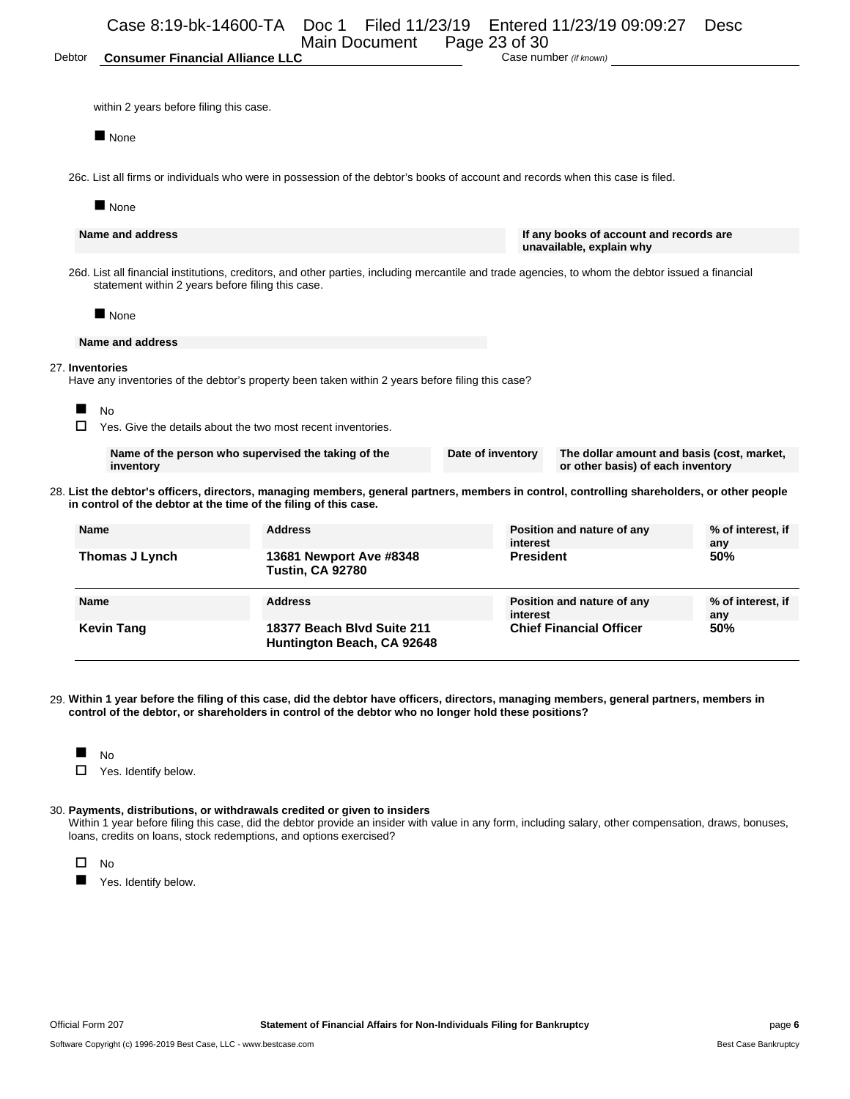|                 | Case 8:19-bk-14600-TA                                                     | Doc 1 Filed 11/23/19<br>Main Document                                                                                                              | Page 23 of 30     | Entered 11/23/19 09:09:27                                           | Desc                                       |
|-----------------|---------------------------------------------------------------------------|----------------------------------------------------------------------------------------------------------------------------------------------------|-------------------|---------------------------------------------------------------------|--------------------------------------------|
| Debtor          | <b>Consumer Financial Alliance LLC</b>                                    |                                                                                                                                                    |                   | Case number (if known)                                              |                                            |
|                 |                                                                           |                                                                                                                                                    |                   |                                                                     |                                            |
|                 | within 2 years before filing this case.                                   |                                                                                                                                                    |                   |                                                                     |                                            |
|                 | $\blacksquare$ None                                                       |                                                                                                                                                    |                   |                                                                     |                                            |
|                 |                                                                           | 26c. List all firms or individuals who were in possession of the debtor's books of account and records when this case is filed.                    |                   |                                                                     |                                            |
|                 | $\blacksquare$ None                                                       |                                                                                                                                                    |                   |                                                                     |                                            |
|                 | Name and address                                                          |                                                                                                                                                    |                   | If any books of account and records are<br>unavailable, explain why |                                            |
|                 | statement within 2 years before filing this case.                         | 26d. List all financial institutions, creditors, and other parties, including mercantile and trade agencies, to whom the debtor issued a financial |                   |                                                                     |                                            |
|                 | $\blacksquare$ None                                                       |                                                                                                                                                    |                   |                                                                     |                                            |
|                 | Name and address                                                          |                                                                                                                                                    |                   |                                                                     |                                            |
| 27. Inventories |                                                                           | Have any inventories of the debtor's property been taken within 2 years before filing this case?                                                   |                   |                                                                     |                                            |
|                 | <b>No</b><br>Yes. Give the details about the two most recent inventories. |                                                                                                                                                    |                   |                                                                     |                                            |
|                 | Name of the person who supervised the taking of the<br>inventory          |                                                                                                                                                    | Date of inventory | or other basis) of each inventory                                   | The dollar amount and basis (cost, market, |
|                 | in control of the debtor at the time of the filing of this case.          | 28. List the debtor's officers, directors, managing members, general partners, members in control, controlling shareholders, or other people       |                   |                                                                     |                                            |
| <b>Name</b>     |                                                                           | <b>Address</b>                                                                                                                                     |                   | Position and nature of any<br>interest                              | % of interest, if<br>any                   |
|                 | Thomas J Lynch                                                            | 13681 Newport Ave #8348<br><b>Tustin, CA 92780</b>                                                                                                 |                   | <b>President</b>                                                    | 50%                                        |

| <b>Name</b>       | <b>Address</b>                                           | Position and nature of any<br>interest | % of interest, if<br>anv |
|-------------------|----------------------------------------------------------|----------------------------------------|--------------------------|
| <b>Kevin Tang</b> | 18377 Beach Blyd Suite 211<br>Huntington Beach, CA 92648 | <b>Chief Financial Officer</b>         | 50%                      |

29. **Within 1 year before the filing of this case, did the debtor have officers, directors, managing members, general partners, members in control of the debtor, or shareholders in control of the debtor who no longer hold these positions?**

| $\sim$ |
|--------|
|--------|

□ Yes. Identify below.

### 30. **Payments, distributions, or withdrawals credited or given to insiders**

Within 1 year before filing this case, did the debtor provide an insider with value in any form, including salary, other compensation, draws, bonuses, loans, credits on loans, stock redemptions, and options exercised?



Yes. Identify below.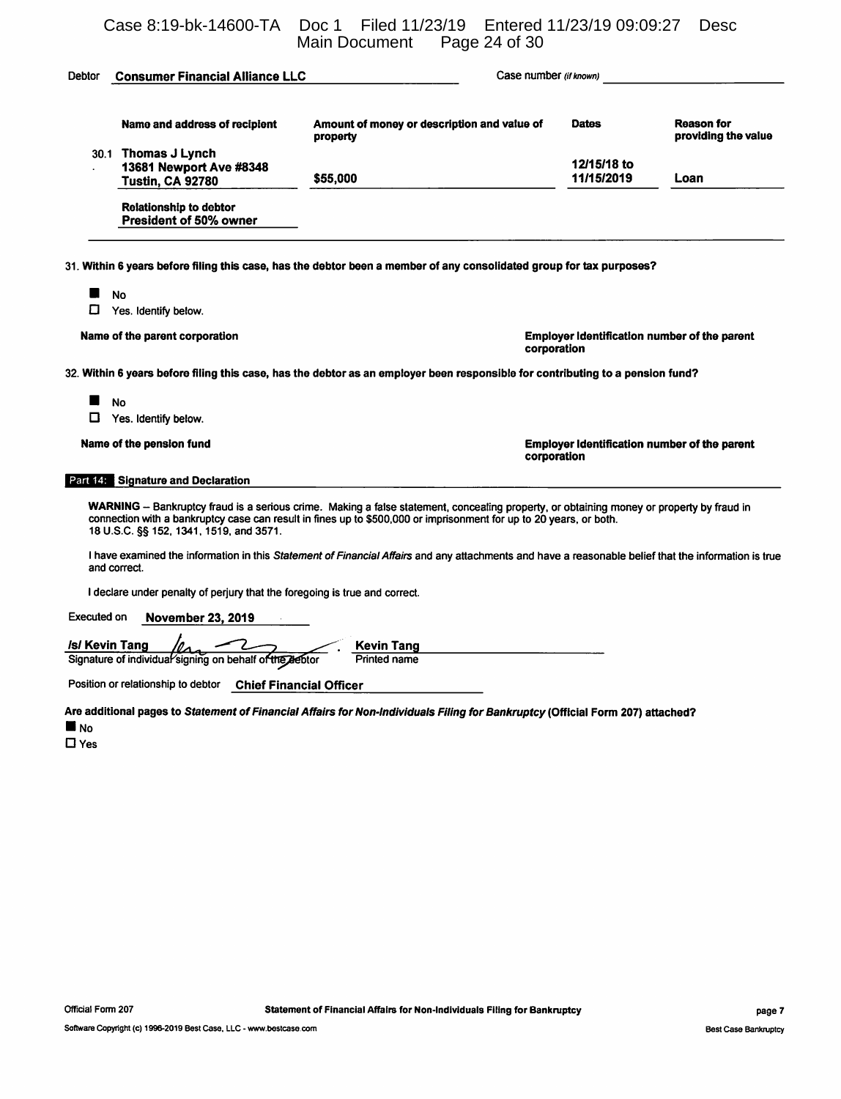Case 8:19-bk-14600-TA Doc 1 Filed 11/23/19 Entered 11/23/19 09:09:27 Desc

|                                                                                  | Page 24 of 30<br><b>Main Document</b>                                                                                                                                                                                                                          |                           |                                                     |
|----------------------------------------------------------------------------------|----------------------------------------------------------------------------------------------------------------------------------------------------------------------------------------------------------------------------------------------------------------|---------------------------|-----------------------------------------------------|
| Debtor<br><b>Consumer Financial Alliance LLC</b>                                 | Case number (if known)                                                                                                                                                                                                                                         |                           |                                                     |
| Name and address of recipient                                                    | Amount of money or description and value of<br>property                                                                                                                                                                                                        | <b>Dates</b>              | Reason for<br>providing the value                   |
| 30.1 Thomas J Lynch<br>13681 Newport Ave #8348<br><b>Tustin, CA 92780</b>        | \$55,000                                                                                                                                                                                                                                                       | 12/15/18 to<br>11/15/2019 | Loan                                                |
| <b>Relationship to debtor</b><br>President of 50% owner                          |                                                                                                                                                                                                                                                                |                           |                                                     |
|                                                                                  | 31. Within 6 years before filing this case, has the debtor been a member of any consolidated group for tax purposes?                                                                                                                                           |                           |                                                     |
| <b>No</b><br>□<br>Yes. Identify below.                                           |                                                                                                                                                                                                                                                                |                           |                                                     |
| Name of the parent corporation                                                   | corporation                                                                                                                                                                                                                                                    |                           | <b>Employer Identification number of the parent</b> |
|                                                                                  | 32. Within 6 years before filing this case, has the debtor as an employer been responsible for contributing to a pension fund?                                                                                                                                 |                           |                                                     |
| <b>No</b><br>□<br>Yes. Identify below.                                           |                                                                                                                                                                                                                                                                |                           |                                                     |
| Name of the pension fund                                                         |                                                                                                                                                                                                                                                                | corporation               | <b>Employer Identification number of the parent</b> |
| Part (29 Signature and Declaration                                               |                                                                                                                                                                                                                                                                |                           |                                                     |
| 18 U.S.C. §§ 152, 1341, 1519, and 3571.                                          | WARNING - Bankruptcy fraud is a serious crime. Making a false statement, concealing property, or obtaining money or property by fraud in<br>connection with a bankruptcy case can result in fines up to \$500,000 or imprisonment for up to 20 years, or both. |                           |                                                     |
| and correct.                                                                     | I have examined the information in this Statement of Financial Affairs and any attachments and have a reasonable belief that the information is true                                                                                                           |                           |                                                     |
| I declare under penalty of perjury that the foregoing is true and correct.       |                                                                                                                                                                                                                                                                |                           |                                                     |
| Executed on<br><b>November 23, 2019</b>                                          |                                                                                                                                                                                                                                                                |                           |                                                     |
| <i>Isl</i> Kevin Tang<br>Signature of individual signing on behalf of the debtor | <b>Kevin Tang</b><br><b>Printed name</b>                                                                                                                                                                                                                       |                           |                                                     |
| Position or relationship to debtor                                               | <b>Chief Financial Officer</b>                                                                                                                                                                                                                                 |                           |                                                     |

Are additional pages to Statement of Financial Affairs for Non-Individuals Filing for Bankruptcy (Official Form 207) attached?  $\blacksquare$  No

 $\square$  Yes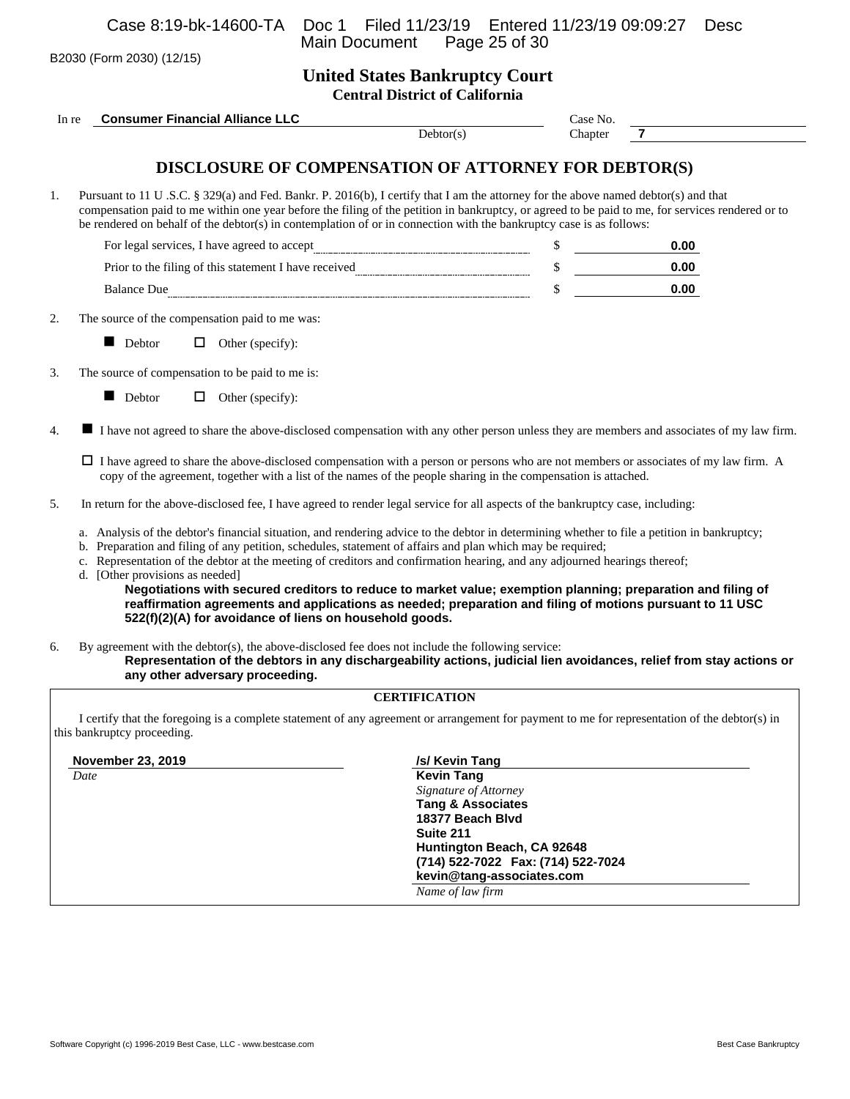B2030 (Form 2030) (12/15)

# **United States Bankruptcy Court Central District of California**

|       |                                 |                                                                                                                                                                                                                                                                                                                                                                                                                                                                                                                                                                                                                                                                                                                                                                                                                                                                                                                                       | Central District of Cambridg                                                                   |          |                                                                                                                                                  |
|-------|---------------------------------|---------------------------------------------------------------------------------------------------------------------------------------------------------------------------------------------------------------------------------------------------------------------------------------------------------------------------------------------------------------------------------------------------------------------------------------------------------------------------------------------------------------------------------------------------------------------------------------------------------------------------------------------------------------------------------------------------------------------------------------------------------------------------------------------------------------------------------------------------------------------------------------------------------------------------------------|------------------------------------------------------------------------------------------------|----------|--------------------------------------------------------------------------------------------------------------------------------------------------|
| In re |                                 | <b>Consumer Financial Alliance LLC</b>                                                                                                                                                                                                                                                                                                                                                                                                                                                                                                                                                                                                                                                                                                                                                                                                                                                                                                |                                                                                                | Case No. |                                                                                                                                                  |
|       |                                 |                                                                                                                                                                                                                                                                                                                                                                                                                                                                                                                                                                                                                                                                                                                                                                                                                                                                                                                                       | Dektor(s)                                                                                      | Chapter  | $\overline{7}$                                                                                                                                   |
|       |                                 | DISCLOSURE OF COMPENSATION OF ATTORNEY FOR DEBTOR(S)                                                                                                                                                                                                                                                                                                                                                                                                                                                                                                                                                                                                                                                                                                                                                                                                                                                                                  |                                                                                                |          |                                                                                                                                                  |
| 1.    |                                 | Pursuant to 11 U .S.C. § 329(a) and Fed. Bankr. P. 2016(b), I certify that I am the attorney for the above named debtor(s) and that<br>be rendered on behalf of the debtor(s) in contemplation of or in connection with the bankruptcy case is as follows:                                                                                                                                                                                                                                                                                                                                                                                                                                                                                                                                                                                                                                                                            |                                                                                                |          | compensation paid to me within one year before the filing of the petition in bankruptcy, or agreed to be paid to me, for services rendered or to |
|       |                                 |                                                                                                                                                                                                                                                                                                                                                                                                                                                                                                                                                                                                                                                                                                                                                                                                                                                                                                                                       |                                                                                                |          | 0.00                                                                                                                                             |
|       |                                 |                                                                                                                                                                                                                                                                                                                                                                                                                                                                                                                                                                                                                                                                                                                                                                                                                                                                                                                                       |                                                                                                |          | 0.00                                                                                                                                             |
|       |                                 | Balance Due                                                                                                                                                                                                                                                                                                                                                                                                                                                                                                                                                                                                                                                                                                                                                                                                                                                                                                                           |                                                                                                | \$       | 0.00                                                                                                                                             |
|       |                                 | The source of the compensation paid to me was:                                                                                                                                                                                                                                                                                                                                                                                                                                                                                                                                                                                                                                                                                                                                                                                                                                                                                        |                                                                                                |          |                                                                                                                                                  |
|       | Debtor                          | $\Box$ Other (specify):                                                                                                                                                                                                                                                                                                                                                                                                                                                                                                                                                                                                                                                                                                                                                                                                                                                                                                               |                                                                                                |          |                                                                                                                                                  |
|       |                                 | The source of compensation to be paid to me is:                                                                                                                                                                                                                                                                                                                                                                                                                                                                                                                                                                                                                                                                                                                                                                                                                                                                                       |                                                                                                |          |                                                                                                                                                  |
|       | Debtor                          | $\Box$<br>Other (specify):                                                                                                                                                                                                                                                                                                                                                                                                                                                                                                                                                                                                                                                                                                                                                                                                                                                                                                            |                                                                                                |          |                                                                                                                                                  |
|       | d. [Other provisions as needed] | copy of the agreement, together with a list of the names of the people sharing in the compensation is attached.<br>In return for the above-disclosed fee, I have agreed to render legal service for all aspects of the bankruptcy case, including:<br>a. Analysis of the debtor's financial situation, and rendering advice to the debtor in determining whether to file a petition in bankruptcy;<br>b. Preparation and filing of any petition, schedules, statement of affairs and plan which may be required;<br>c. Representation of the debtor at the meeting of creditors and confirmation hearing, and any adjourned hearings thereof;<br>Negotiations with secured creditors to reduce to market value; exemption planning; preparation and filing of<br>reaffirmation agreements and applications as needed; preparation and filing of motions pursuant to 11 USC<br>522(f)(2)(A) for avoidance of liens on household goods. |                                                                                                |          |                                                                                                                                                  |
|       |                                 | By agreement with the debtor(s), the above-disclosed fee does not include the following service:<br>any other adversary proceeding.                                                                                                                                                                                                                                                                                                                                                                                                                                                                                                                                                                                                                                                                                                                                                                                                   |                                                                                                |          | Representation of the debtors in any dischargeability actions, judicial lien avoidances, relief from stay actions or                             |
|       |                                 |                                                                                                                                                                                                                                                                                                                                                                                                                                                                                                                                                                                                                                                                                                                                                                                                                                                                                                                                       | <b>CERTIFICATION</b>                                                                           |          |                                                                                                                                                  |
|       | this bankruptcy proceeding.     |                                                                                                                                                                                                                                                                                                                                                                                                                                                                                                                                                                                                                                                                                                                                                                                                                                                                                                                                       |                                                                                                |          | I certify that the foregoing is a complete statement of any agreement or arrangement for payment to me for representation of the debtor(s) in    |
|       | November 23, 2019               |                                                                                                                                                                                                                                                                                                                                                                                                                                                                                                                                                                                                                                                                                                                                                                                                                                                                                                                                       | /s/ Kevin Tang                                                                                 |          |                                                                                                                                                  |
| Date  |                                 |                                                                                                                                                                                                                                                                                                                                                                                                                                                                                                                                                                                                                                                                                                                                                                                                                                                                                                                                       | <b>Kevin Tang</b><br>Signature of Attorney<br><b>Tang &amp; Associates</b><br>18377 Beach Blvd |          |                                                                                                                                                  |

**Huntington Beach, CA 92648 (714) 522-7022 Fax: (714) 522-7024 kevin@tang-associates.com**

*Name of law firm*

**Suite 211**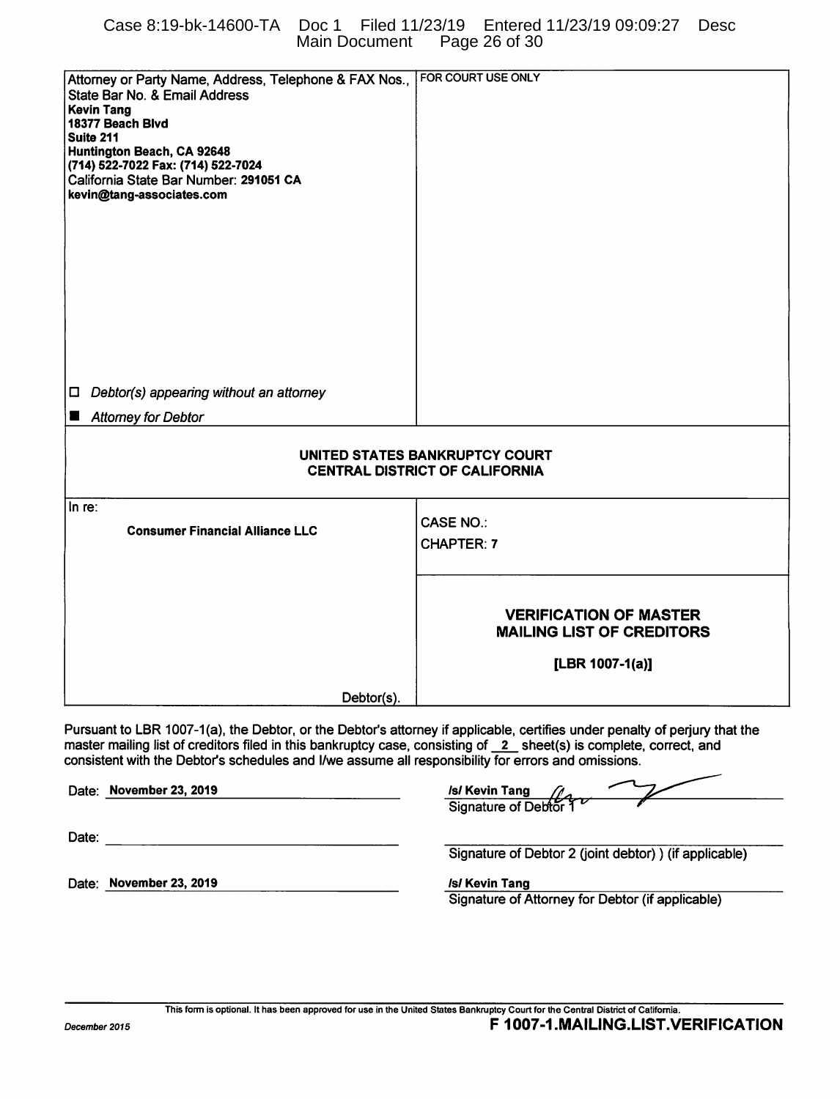# Case 8:19-bk-14600-TA Doc 1 Filed 11/23/19 Entered 11/23/19 09:09:27 Desc Main Document Page 26 of 30

| Attorney or Party Name, Address, Telephone & FAX Nos.,                                                                     | FOR COURT USE ONLY                                     |
|----------------------------------------------------------------------------------------------------------------------------|--------------------------------------------------------|
| State Bar No. & Email Address                                                                                              |                                                        |
| <b>Kevin Tang</b>                                                                                                          |                                                        |
| 18377 Beach Blvd<br>Suite 211                                                                                              |                                                        |
| Huntington Beach, CA 92648                                                                                                 |                                                        |
| (714) 522-7022 Fax: (714) 522-7024                                                                                         |                                                        |
| California State Bar Number: 291051 CA                                                                                     |                                                        |
| kevin@tang-associates.com                                                                                                  |                                                        |
|                                                                                                                            |                                                        |
|                                                                                                                            |                                                        |
|                                                                                                                            |                                                        |
|                                                                                                                            |                                                        |
|                                                                                                                            |                                                        |
|                                                                                                                            |                                                        |
|                                                                                                                            |                                                        |
|                                                                                                                            |                                                        |
|                                                                                                                            |                                                        |
|                                                                                                                            |                                                        |
| Debtor(s) appearing without an attorney<br>$\Box$                                                                          |                                                        |
|                                                                                                                            |                                                        |
| <b>Attomey for Debtor</b>                                                                                                  |                                                        |
|                                                                                                                            |                                                        |
|                                                                                                                            | UNITED STATES BANKRUPTCY COURT                         |
|                                                                                                                            | <b>CENTRAL DISTRICT OF CALIFORNIA</b>                  |
|                                                                                                                            |                                                        |
| In re:                                                                                                                     |                                                        |
| <b>Consumer Financial Alliance LLC</b>                                                                                     | <b>CASE NO.:</b>                                       |
|                                                                                                                            | CHAPTER: 7                                             |
|                                                                                                                            |                                                        |
|                                                                                                                            |                                                        |
|                                                                                                                            |                                                        |
|                                                                                                                            | <b>VERIFICATION OF MASTER</b>                          |
|                                                                                                                            | <b>MAILING LIST OF CREDITORS</b>                       |
|                                                                                                                            |                                                        |
|                                                                                                                            | [LBR 1007-1(a)]                                        |
|                                                                                                                            |                                                        |
| Debtor(s).                                                                                                                 |                                                        |
|                                                                                                                            |                                                        |
| Pursuant to LBR 1007-1(a), the Debtor, or the Debtor's attorney if applicable, certifies under penalty of perjury that the |                                                        |
| master mailing list of creditors filed in this bankruptcy case, consisting of 2 sheet(s) is complete, correct, and         |                                                        |
| consistent with the Debtor's schedules and I/we assume all responsibility for errors and omissions.                        |                                                        |
| Date: November 23, 2019                                                                                                    |                                                        |
|                                                                                                                            | Isl Kevin Tang<br>Signature of Debton                  |
|                                                                                                                            |                                                        |
| Date:                                                                                                                      |                                                        |
|                                                                                                                            | Signature of Debtor 2 (joint debtor) ) (if applicable) |
|                                                                                                                            |                                                        |
| Date: November 23, 2019                                                                                                    | <b>/s/ Kevin Tang</b>                                  |
|                                                                                                                            | Signature of Attorney for Debtor (if applicable)       |
|                                                                                                                            |                                                        |
|                                                                                                                            |                                                        |
|                                                                                                                            |                                                        |
|                                                                                                                            |                                                        |
|                                                                                                                            |                                                        |
|                                                                                                                            |                                                        |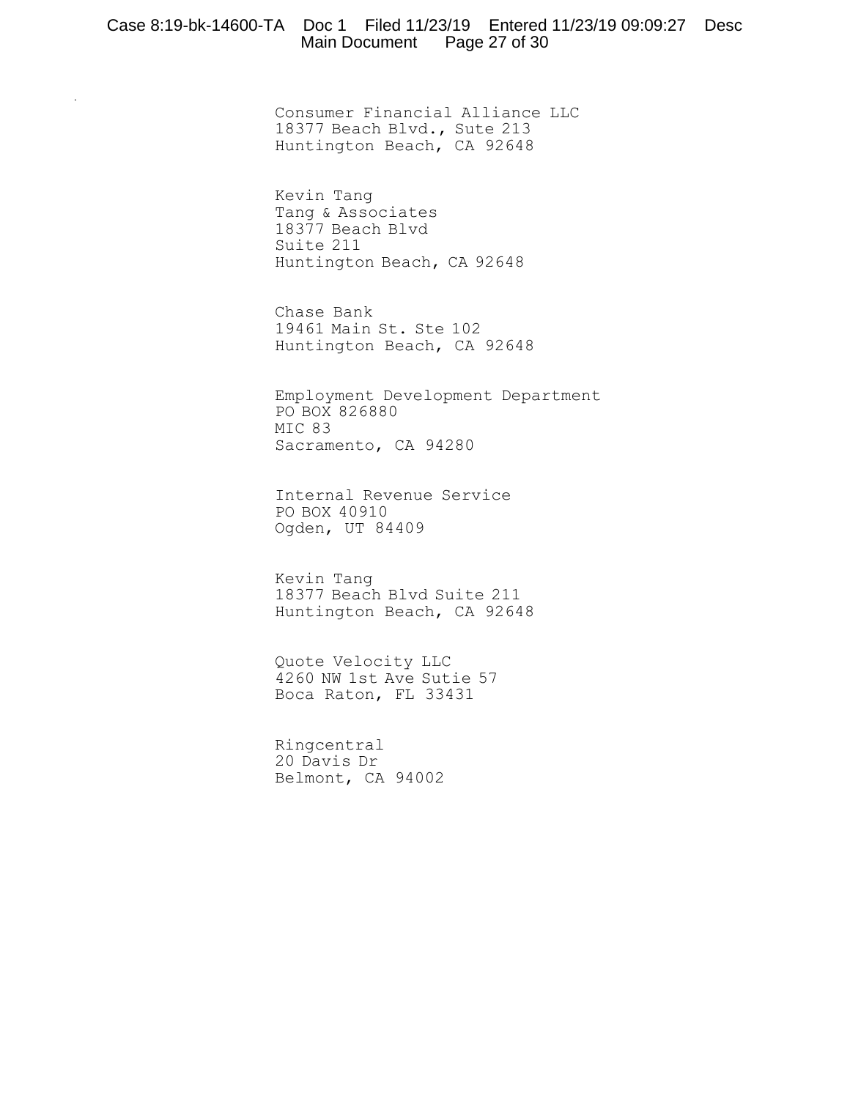### Case 8:19-bk-14600-TA Doc 1 Filed 11/23/19 Entered 11/23/19 09:09:27 Desc Main Document Page 27 of 30

Consumer Financial Alliance LLC 18377 Beach Blvd., Sute 213 Huntington Beach, CA 92648

Kevin Tang Tang & Associates 18377 Beach Blvd Suite 211 Huntington Beach, CA 92648

Chase Bank 19461 Main St. Ste 102 Huntington Beach, CA 92648

Employment Development Department PO BOX 826880 MIC 83 Sacramento, CA 94280

Internal Revenue Service PO BOX 40910 Ogden, UT 84409

Kevin Tang 18377 Beach Blvd Suite 211 Huntington Beach, CA 92648

Quote Velocity LLC 4260 NW 1st Ave Sutie 57 Boca Raton, FL 33431

Ringcentral 20 Davis Dr Belmont, CA 94002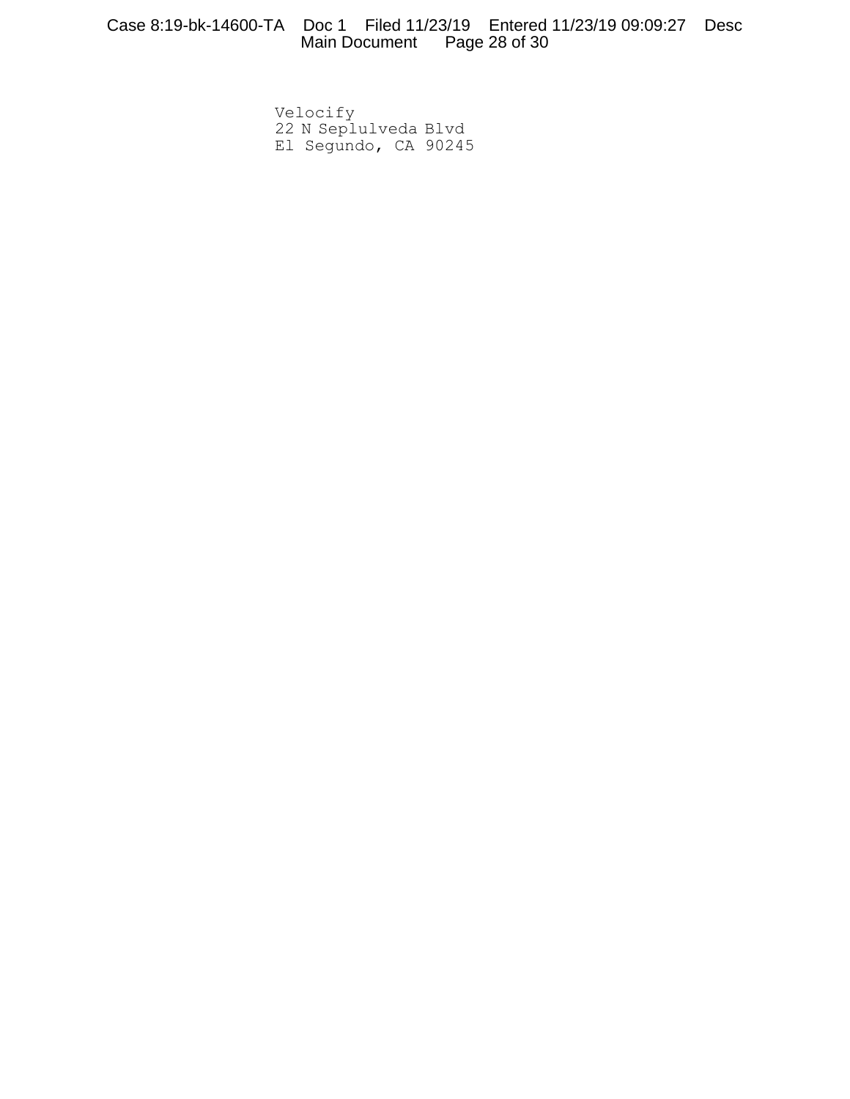Velocify 22 N Seplulveda Blvd El Segundo, CA 90245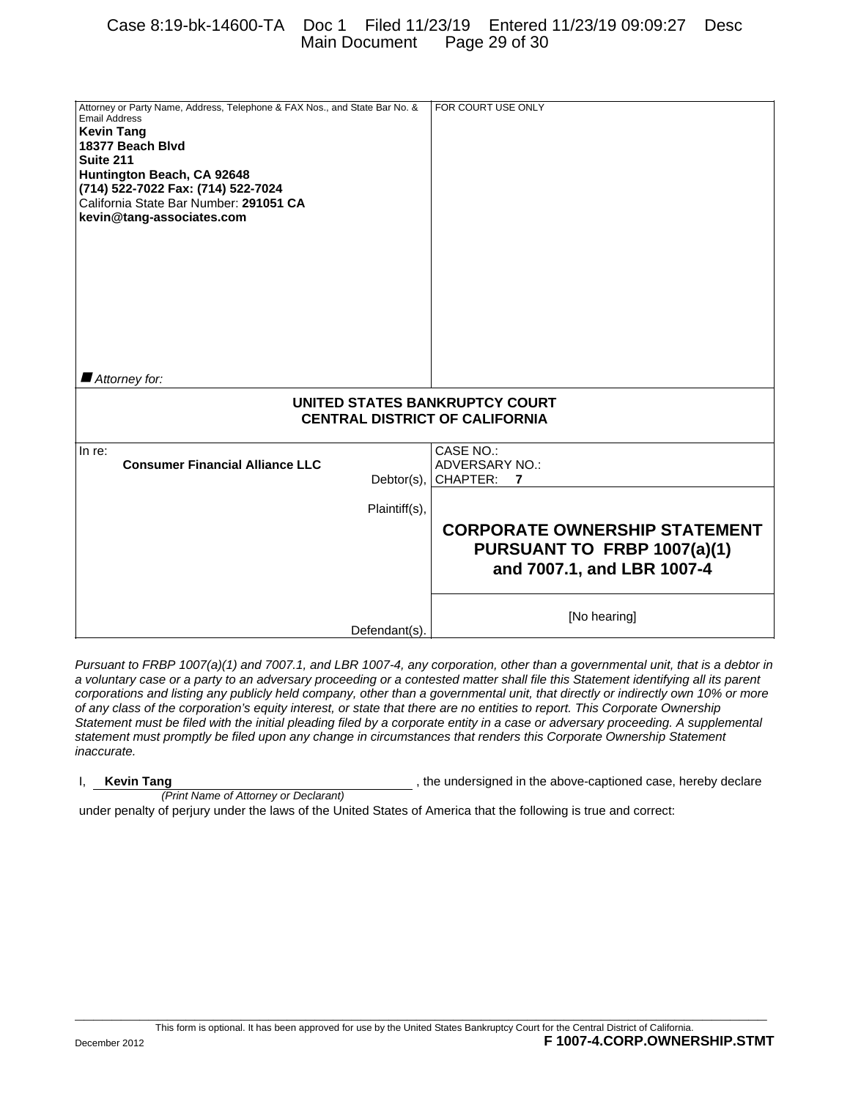# Case 8:19-bk-14600-TA Doc 1 Filed 11/23/19 Entered 11/23/19 09:09:27 Desc Main Document Page 29 of 30

| Attorney or Party Name, Address, Telephone & FAX Nos., and State Bar No. & | FOR COURT USE ONLY                   |
|----------------------------------------------------------------------------|--------------------------------------|
| Email Address<br><b>Kevin Tang</b>                                         |                                      |
| 18377 Beach Blvd                                                           |                                      |
| Suite 211                                                                  |                                      |
| Huntington Beach, CA 92648<br>(714) 522-7022 Fax: (714) 522-7024           |                                      |
| California State Bar Number: 291051 CA                                     |                                      |
| kevin@tang-associates.com                                                  |                                      |
|                                                                            |                                      |
|                                                                            |                                      |
|                                                                            |                                      |
|                                                                            |                                      |
|                                                                            |                                      |
|                                                                            |                                      |
|                                                                            |                                      |
|                                                                            |                                      |
| $\blacksquare$ Attorney for:                                               |                                      |
| UNITED STATES BANKRUPTCY COURT                                             |                                      |
| <b>CENTRAL DISTRICT OF CALIFORNIA</b>                                      |                                      |
| In re:                                                                     | CASE NO.:                            |
| <b>Consumer Financial Alliance LLC</b>                                     | <b>ADVERSARY NO.:</b>                |
| Debtor(s),                                                                 | CHAPTER:<br>7                        |
| Plaintiff(s),                                                              |                                      |
|                                                                            | <b>CORPORATE OWNERSHIP STATEMENT</b> |
|                                                                            | PURSUANT TO FRBP 1007(a)(1)          |
|                                                                            | and 7007.1, and LBR 1007-4           |
|                                                                            |                                      |
|                                                                            |                                      |
| Defendant(s).                                                              | [No hearing]                         |
|                                                                            |                                      |

*Pursuant to FRBP 1007(a)(1) and 7007.1, and LBR 1007-4, any corporation, other than a governmental unit, that is a debtor in a voluntary case or a party to an adversary proceeding or a contested matter shall file this Statement identifying all its parent corporations and listing any publicly held company, other than a governmental unit, that directly or indirectly own 10% or more of any class of the corporation's equity interest, or state that there are no entities to report. This Corporate Ownership Statement must be filed with the initial pleading filed by a corporate entity in a case or adversary proceeding. A supplemental statement must promptly be filed upon any change in circumstances that renders this Corporate Ownership Statement inaccurate.*

# *(Print Name of Attorney or Declarant)*

I, **Kevin Tang Kevin Tang Research 2012**, the undersigned in the above-captioned case, hereby declare

under penalty of perjury under the laws of the United States of America that the following is true and correct:

**\_\_\_\_\_\_\_\_\_\_\_\_\_\_\_\_\_\_\_\_\_\_\_\_\_\_\_\_\_\_\_\_\_\_\_\_\_\_\_\_\_\_\_\_\_\_\_\_\_\_\_\_\_\_\_\_\_\_\_\_\_\_\_\_\_\_\_\_\_\_\_\_\_\_\_**